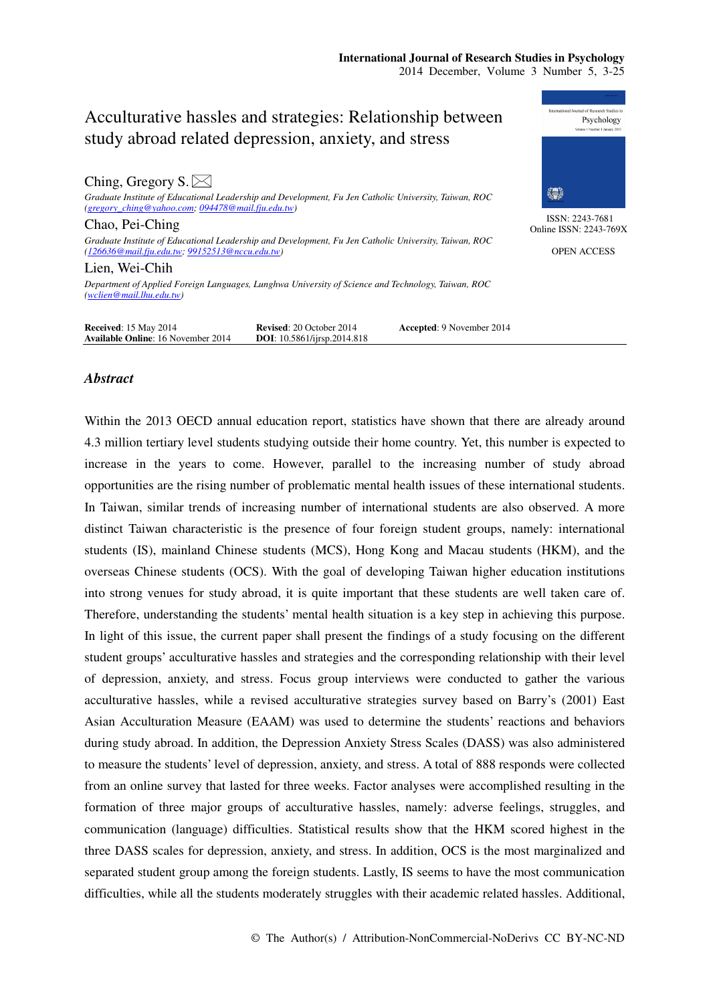| Ching, Gregory $S \times$                                                                                                                                  |                                                                        |                           |   |
|------------------------------------------------------------------------------------------------------------------------------------------------------------|------------------------------------------------------------------------|---------------------------|---|
| Graduate Institute of Educational Leadership and Development, Fu Jen Catholic University, Taiwan, ROC<br>(gregory_ching@yahoo.com; 094478@mail.fju.edu.tw) |                                                                        |                           |   |
| Chao, Pei-Ching                                                                                                                                            |                                                                        |                           | C |
| Graduate Institute of Educational Leadership and Development, Fu Jen Catholic University, Taiwan, ROC<br>(126636@mail.fju.edu.tw; 99152513@nccu.edu.tw)    |                                                                        |                           |   |
| Lien, Wei-Chih                                                                                                                                             |                                                                        |                           |   |
| Department of Applied Foreign Languages, Lunghwa University of Science and Technology, Taiwan, ROC<br>(wclien@mail.lhu.edu.tw)                             |                                                                        |                           |   |
| <b>Received: 15 May 2014</b><br><b>Available Online: 16 November 2014</b>                                                                                  | <b>Revised: 20 October 2014</b><br><b>DOI</b> : 10.5861/ijrsp.2014.818 | Accepted: 9 November 2014 |   |



ISSN: 2243-7681 Online ISSN: 2243-769X

OPEN ACCESS

# *Abstract*

Within the 2013 OECD annual education report, statistics have shown that there are already around 4.3 million tertiary level students studying outside their home country. Yet, this number is expected to increase in the years to come. However, parallel to the increasing number of study abroad opportunities are the rising number of problematic mental health issues of these international students. In Taiwan, similar trends of increasing number of international students are also observed. A more distinct Taiwan characteristic is the presence of four foreign student groups, namely: international students (IS), mainland Chinese students (MCS), Hong Kong and Macau students (HKM), and the overseas Chinese students (OCS). With the goal of developing Taiwan higher education institutions into strong venues for study abroad, it is quite important that these students are well taken care of. Therefore, understanding the students' mental health situation is a key step in achieving this purpose. In light of this issue, the current paper shall present the findings of a study focusing on the different student groups' acculturative hassles and strategies and the corresponding relationship with their level of depression, anxiety, and stress. Focus group interviews were conducted to gather the various acculturative hassles, while a revised acculturative strategies survey based on Barry's (2001) East Asian Acculturation Measure (EAAM) was used to determine the students' reactions and behaviors during study abroad. In addition, the Depression Anxiety Stress Scales (DASS) was also administered to measure the students' level of depression, anxiety, and stress. A total of 888 responds were collected from an online survey that lasted for three weeks. Factor analyses were accomplished resulting in the formation of three major groups of acculturative hassles, namely: adverse feelings, struggles, and communication (language) difficulties. Statistical results show that the HKM scored highest in the three DASS scales for depression, anxiety, and stress. In addition, OCS is the most marginalized and separated student group among the foreign students. Lastly, IS seems to have the most communication difficulties, while all the students moderately struggles with their academic related hassles. Additional,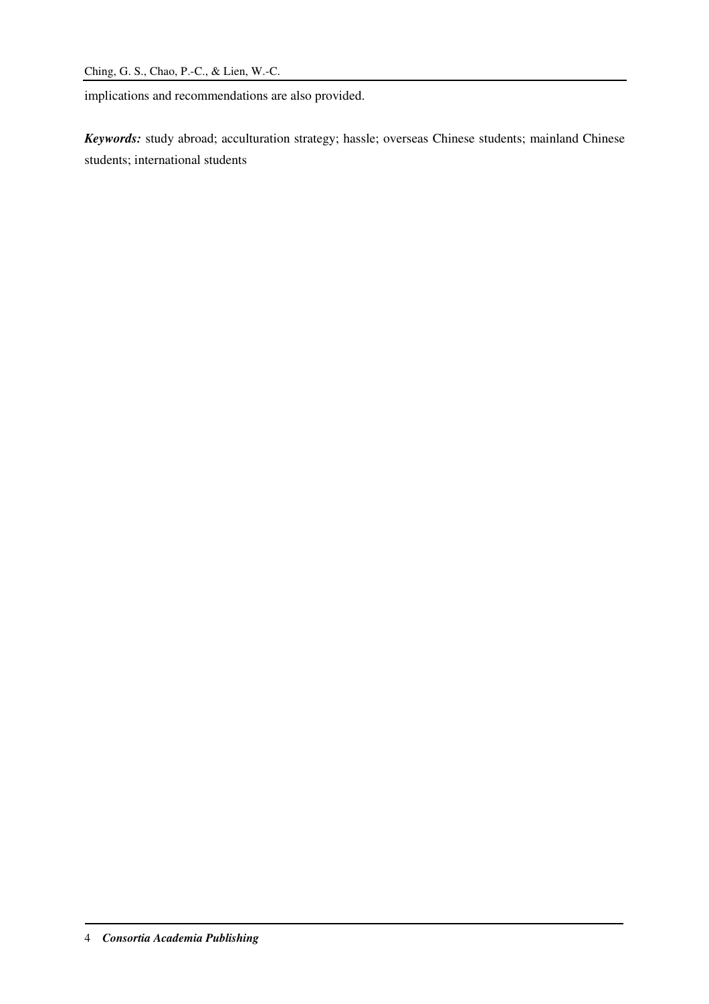implications and recommendations are also provided.

*Keywords:* study abroad; acculturation strategy; hassle; overseas Chinese students; mainland Chinese students; international students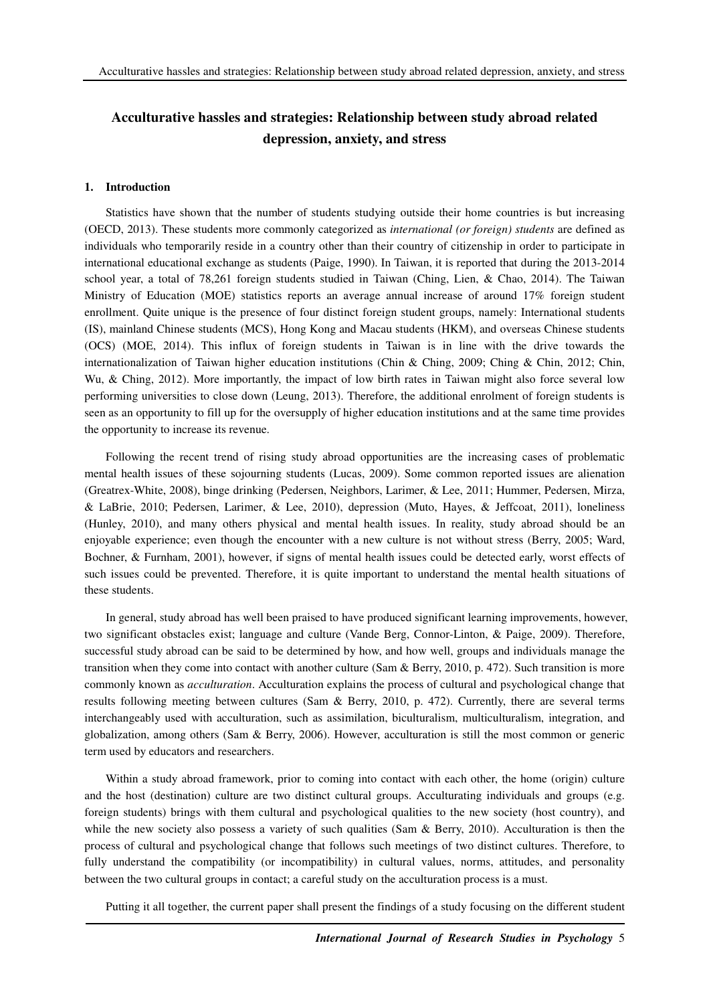#### **1. Introduction**

Statistics have shown that the number of students studying outside their home countries is but increasing (OECD, 2013). These students more commonly categorized as *international (or foreign) students* are defined as individuals who temporarily reside in a country other than their country of citizenship in order to participate in international educational exchange as students (Paige, 1990). In Taiwan, it is reported that during the 2013-2014 school year, a total of 78,261 foreign students studied in Taiwan (Ching, Lien, & Chao, 2014). The Taiwan Ministry of Education (MOE) statistics reports an average annual increase of around 17% foreign student enrollment. Quite unique is the presence of four distinct foreign student groups, namely: International students (IS), mainland Chinese students (MCS), Hong Kong and Macau students (HKM), and overseas Chinese students (OCS) (MOE, 2014). This influx of foreign students in Taiwan is in line with the drive towards the internationalization of Taiwan higher education institutions (Chin & Ching, 2009; Ching & Chin, 2012; Chin, Wu, & Ching, 2012). More importantly, the impact of low birth rates in Taiwan might also force several low performing universities to close down (Leung, 2013). Therefore, the additional enrolment of foreign students is seen as an opportunity to fill up for the oversupply of higher education institutions and at the same time provides the opportunity to increase its revenue.

Following the recent trend of rising study abroad opportunities are the increasing cases of problematic mental health issues of these sojourning students (Lucas, 2009). Some common reported issues are alienation (Greatrex-White, 2008), binge drinking (Pedersen, Neighbors, Larimer, & Lee, 2011; Hummer, Pedersen, Mirza, & LaBrie, 2010; Pedersen, Larimer, & Lee, 2010), depression (Muto, Hayes, & Jeffcoat, 2011), loneliness (Hunley, 2010), and many others physical and mental health issues. In reality, study abroad should be an enjoyable experience; even though the encounter with a new culture is not without stress (Berry, 2005; Ward, Bochner, & Furnham, 2001), however, if signs of mental health issues could be detected early, worst effects of such issues could be prevented. Therefore, it is quite important to understand the mental health situations of these students.

In general, study abroad has well been praised to have produced significant learning improvements, however, two significant obstacles exist; language and culture (Vande Berg, Connor-Linton, & Paige, 2009). Therefore, successful study abroad can be said to be determined by how, and how well, groups and individuals manage the transition when they come into contact with another culture (Sam & Berry, 2010, p. 472). Such transition is more commonly known as *acculturation*. Acculturation explains the process of cultural and psychological change that results following meeting between cultures (Sam & Berry, 2010, p. 472). Currently, there are several terms interchangeably used with acculturation, such as assimilation, biculturalism, multiculturalism, integration, and globalization, among others (Sam & Berry, 2006). However, acculturation is still the most common or generic term used by educators and researchers.

Within a study abroad framework, prior to coming into contact with each other, the home (origin) culture and the host (destination) culture are two distinct cultural groups. Acculturating individuals and groups (e.g. foreign students) brings with them cultural and psychological qualities to the new society (host country), and while the new society also possess a variety of such qualities (Sam & Berry, 2010). Acculturation is then the process of cultural and psychological change that follows such meetings of two distinct cultures. Therefore, to fully understand the compatibility (or incompatibility) in cultural values, norms, attitudes, and personality between the two cultural groups in contact; a careful study on the acculturation process is a must.

Putting it all together, the current paper shall present the findings of a study focusing on the different student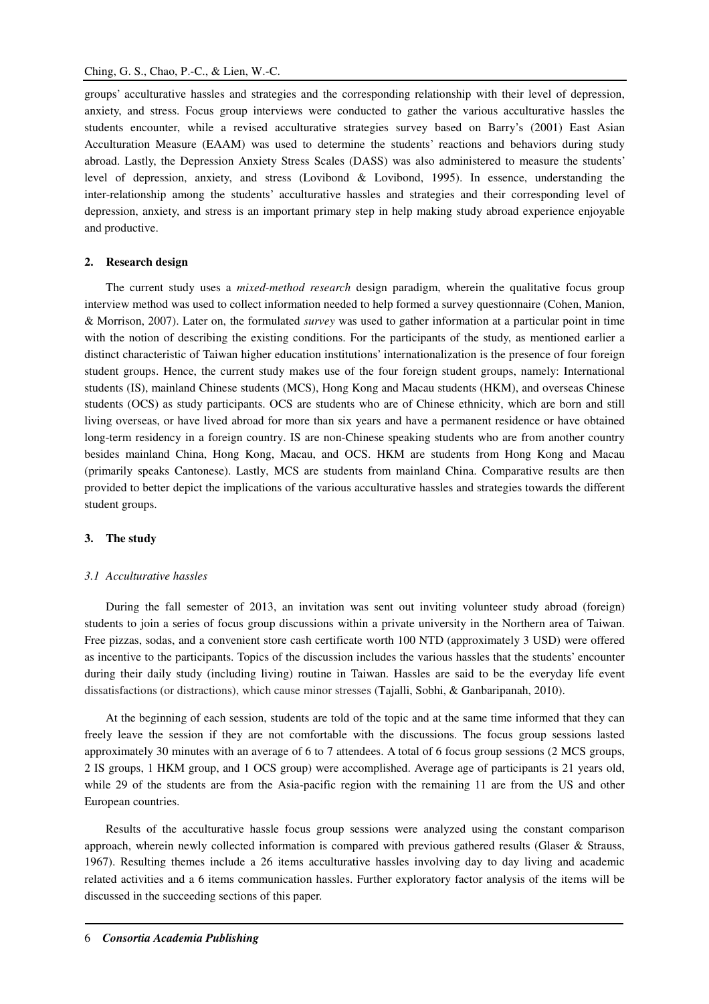groups' acculturative hassles and strategies and the corresponding relationship with their level of depression, anxiety, and stress. Focus group interviews were conducted to gather the various acculturative hassles the students encounter, while a revised acculturative strategies survey based on Barry's (2001) East Asian Acculturation Measure (EAAM) was used to determine the students' reactions and behaviors during study abroad. Lastly, the Depression Anxiety Stress Scales (DASS) was also administered to measure the students' level of depression, anxiety, and stress (Lovibond & Lovibond, 1995). In essence, understanding the inter-relationship among the students' acculturative hassles and strategies and their corresponding level of depression, anxiety, and stress is an important primary step in help making study abroad experience enjoyable and productive.

#### **2. Research design**

The current study uses a *mixed-method research* design paradigm, wherein the qualitative focus group interview method was used to collect information needed to help formed a survey questionnaire (Cohen, Manion, & Morrison, 2007). Later on, the formulated *survey* was used to gather information at a particular point in time with the notion of describing the existing conditions. For the participants of the study, as mentioned earlier a distinct characteristic of Taiwan higher education institutions' internationalization is the presence of four foreign student groups. Hence, the current study makes use of the four foreign student groups, namely: International students (IS), mainland Chinese students (MCS), Hong Kong and Macau students (HKM), and overseas Chinese students (OCS) as study participants. OCS are students who are of Chinese ethnicity, which are born and still living overseas, or have lived abroad for more than six years and have a permanent residence or have obtained long-term residency in a foreign country. IS are non-Chinese speaking students who are from another country besides mainland China, Hong Kong, Macau, and OCS. HKM are students from Hong Kong and Macau (primarily speaks Cantonese). Lastly, MCS are students from mainland China. Comparative results are then provided to better depict the implications of the various acculturative hassles and strategies towards the different student groups.

#### **3. The study**

#### *3.1 Acculturative hassles*

During the fall semester of 2013, an invitation was sent out inviting volunteer study abroad (foreign) students to join a series of focus group discussions within a private university in the Northern area of Taiwan. Free pizzas, sodas, and a convenient store cash certificate worth 100 NTD (approximately 3 USD) were offered as incentive to the participants. Topics of the discussion includes the various hassles that the students' encounter during their daily study (including living) routine in Taiwan. Hassles are said to be the everyday life event dissatisfactions (or distractions), which cause minor stresses (Tajalli, Sobhi, & Ganbaripanah, 2010).

At the beginning of each session, students are told of the topic and at the same time informed that they can freely leave the session if they are not comfortable with the discussions. The focus group sessions lasted approximately 30 minutes with an average of 6 to 7 attendees. A total of 6 focus group sessions (2 MCS groups, 2 IS groups, 1 HKM group, and 1 OCS group) were accomplished. Average age of participants is 21 years old, while 29 of the students are from the Asia-pacific region with the remaining 11 are from the US and other European countries.

Results of the acculturative hassle focus group sessions were analyzed using the constant comparison approach, wherein newly collected information is compared with previous gathered results (Glaser & Strauss, 1967). Resulting themes include a 26 items acculturative hassles involving day to day living and academic related activities and a 6 items communication hassles. Further exploratory factor analysis of the items will be discussed in the succeeding sections of this paper.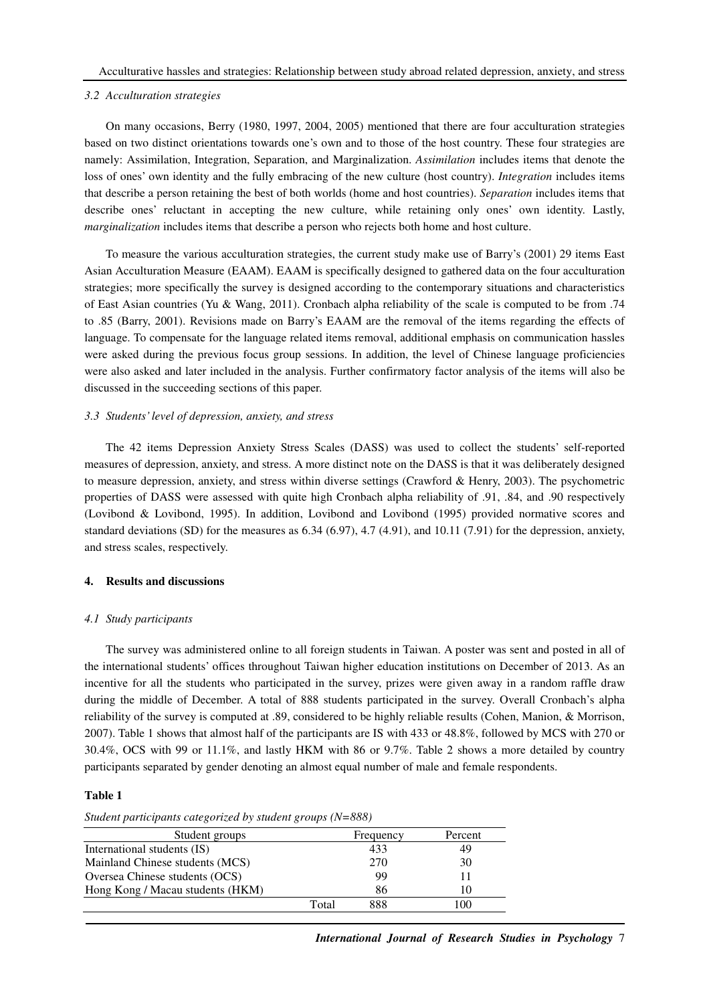#### *3.2 Acculturation strategies*

On many occasions, Berry (1980, 1997, 2004, 2005) mentioned that there are four acculturation strategies based on two distinct orientations towards one's own and to those of the host country. These four strategies are namely: Assimilation, Integration, Separation, and Marginalization. *Assimilation* includes items that denote the loss of ones' own identity and the fully embracing of the new culture (host country). *Integration* includes items that describe a person retaining the best of both worlds (home and host countries). *Separation* includes items that describe ones' reluctant in accepting the new culture, while retaining only ones' own identity. Lastly, *marginalization* includes items that describe a person who rejects both home and host culture.

To measure the various acculturation strategies, the current study make use of Barry's (2001) 29 items East Asian Acculturation Measure (EAAM). EAAM is specifically designed to gathered data on the four acculturation strategies; more specifically the survey is designed according to the contemporary situations and characteristics of East Asian countries (Yu & Wang, 2011). Cronbach alpha reliability of the scale is computed to be from .74 to .85 (Barry, 2001). Revisions made on Barry's EAAM are the removal of the items regarding the effects of language. To compensate for the language related items removal, additional emphasis on communication hassles were asked during the previous focus group sessions. In addition, the level of Chinese language proficiencies were also asked and later included in the analysis. Further confirmatory factor analysis of the items will also be discussed in the succeeding sections of this paper.

#### *3.3 Students' level of depression, anxiety, and stress*

The 42 items Depression Anxiety Stress Scales (DASS) was used to collect the students' self-reported measures of depression, anxiety, and stress. A more distinct note on the DASS is that it was deliberately designed to measure depression, anxiety, and stress within diverse settings (Crawford & Henry, 2003). The psychometric properties of DASS were assessed with quite high Cronbach alpha reliability of .91, .84, and .90 respectively (Lovibond & Lovibond, 1995). In addition, Lovibond and Lovibond (1995) provided normative scores and standard deviations (SD) for the measures as 6.34 (6.97), 4.7 (4.91), and 10.11 (7.91) for the depression, anxiety, and stress scales, respectively.

# **4. Results and discussions**

#### *4.1 Study participants*

The survey was administered online to all foreign students in Taiwan. A poster was sent and posted in all of the international students' offices throughout Taiwan higher education institutions on December of 2013. As an incentive for all the students who participated in the survey, prizes were given away in a random raffle draw during the middle of December. A total of 888 students participated in the survey. Overall Cronbach's alpha reliability of the survey is computed at .89, considered to be highly reliable results (Cohen, Manion, & Morrison, 2007). Table 1 shows that almost half of the participants are IS with 433 or 48.8%, followed by MCS with 270 or 30.4%, OCS with 99 or 11.1%, and lastly HKM with 86 or 9.7%. Table 2 shows a more detailed by country participants separated by gender denoting an almost equal number of male and female respondents.

#### **Table 1**

#### *Student participants categorized by student groups (N=888)*

| Student groups                   |       | Frequency | Percent |
|----------------------------------|-------|-----------|---------|
| International students (IS)      |       | 433       | 49      |
| Mainland Chinese students (MCS)  |       | 270       | 30      |
| Oversea Chinese students (OCS)   |       | 99        |         |
| Hong Kong / Macau students (HKM) |       | 86        |         |
|                                  | Total | 888       |         |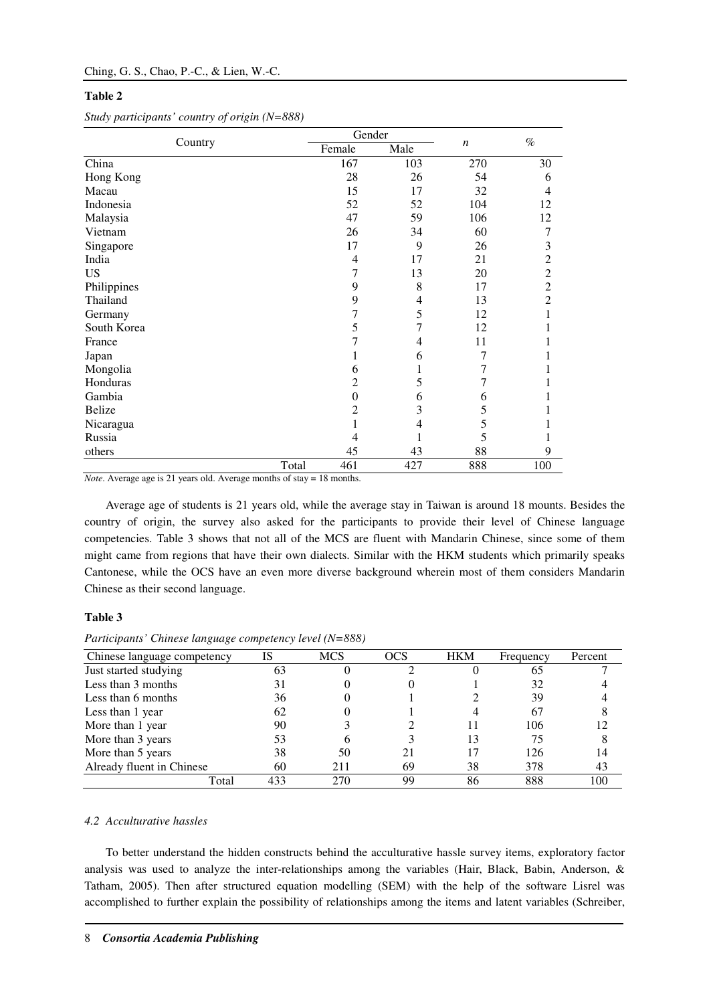#### **Table 2**

|               |       | Gender         |      |                  | $\%$           |
|---------------|-------|----------------|------|------------------|----------------|
| Country       |       | Female         | Male | $\boldsymbol{n}$ |                |
| China         |       | 167            | 103  | 270              | 30             |
| Hong Kong     |       | 28             | 26   | 54               | 6              |
| Macau         |       | 15             | 17   | 32               | 4              |
| Indonesia     |       | 52             | 52   | 104              | 12             |
| Malaysia      |       | 47             | 59   | 106              | 12             |
| Vietnam       |       | 26             | 34   | 60               | 7              |
| Singapore     |       | 17             | 9    | 26               | 3              |
| India         |       | 4              | 17   | 21               | $\overline{2}$ |
| <b>US</b>     |       | 7              | 13   | 20               | $\overline{2}$ |
| Philippines   |       | 9              | 8    | 17               | $\overline{c}$ |
| Thailand      |       | 9              | 4    | 13               | $\overline{2}$ |
| Germany       |       | $\overline{7}$ | 5    | 12               | 1              |
| South Korea   |       | 5              | 7    | 12               | 1              |
| France        |       | $\overline{7}$ | 4    | 11               |                |
| Japan         |       |                | 6    | 7                | 1              |
| Mongolia      |       | 6              | 1    | 7                |                |
| Honduras      |       | 2              | 5    | $\tau$           |                |
| Gambia        |       | $\theta$       | 6    | 6                |                |
| <b>Belize</b> |       | 2              | 3    | 5                |                |
| Nicaragua     |       |                | 4    | 5                |                |
| Russia        |       | 4              |      | 5                |                |
| others        |       | 45             | 43   | 88               | 9              |
|               | Total | 461            | 427  | 888              | 100            |

*Study participants' country of origin (N=888)* 

*Note*. Average age is 21 years old. Average months of stay = 18 months.

Average age of students is 21 years old, while the average stay in Taiwan is around 18 mounts. Besides the country of origin, the survey also asked for the participants to provide their level of Chinese language competencies. Table 3 shows that not all of the MCS are fluent with Mandarin Chinese, since some of them might came from regions that have their own dialects. Similar with the HKM students which primarily speaks Cantonese, while the OCS have an even more diverse background wherein most of them considers Mandarin Chinese as their second language.

#### **Table 3**

*Participants' Chinese language competency level (N=888)* 

| Chinese language competency | IS  | <b>MCS</b> | <b>OCS</b> | <b>HKM</b> | Frequency | Percent |
|-----------------------------|-----|------------|------------|------------|-----------|---------|
| Just started studying       | 63  |            |            |            | 65        |         |
| Less than 3 months          | 31  |            |            |            | 32        |         |
| Less than 6 months          | 36  |            |            |            | 39        |         |
| Less than 1 year            | 62  |            |            |            | 67        |         |
| More than 1 year            | 90  |            |            | ш          | 106       |         |
| More than 3 years           | 53  |            |            | 13         | 75        |         |
| More than 5 years           | 38  | 50         |            | 17         | 126       | 14      |
| Already fluent in Chinese   | 60  | 211        | 69         | 38         | 378       | 43      |
| Total                       | 433 | 270        | 99         | 86         | 888       | 100     |

# *4.2 Acculturative hassles*

To better understand the hidden constructs behind the acculturative hassle survey items, exploratory factor analysis was used to analyze the inter-relationships among the variables (Hair, Black, Babin, Anderson, & Tatham, 2005). Then after structured equation modelling (SEM) with the help of the software Lisrel was accomplished to further explain the possibility of relationships among the items and latent variables (Schreiber,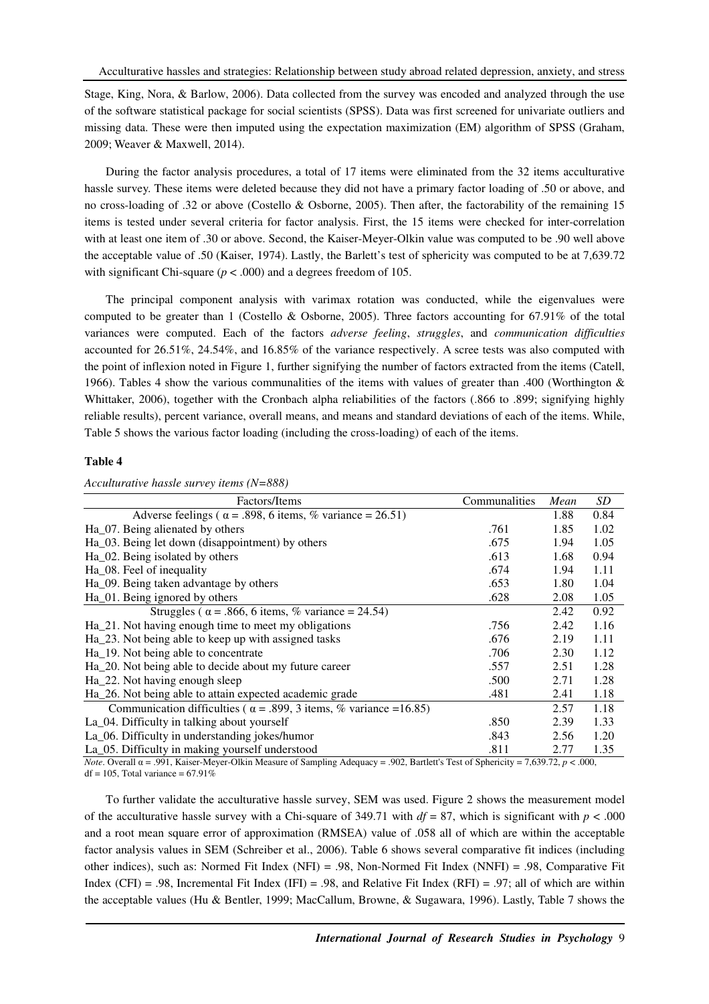Stage, King, Nora, & Barlow, 2006). Data collected from the survey was encoded and analyzed through the use of the software statistical package for social scientists (SPSS). Data was first screened for univariate outliers and missing data. These were then imputed using the expectation maximization (EM) algorithm of SPSS (Graham, 2009; Weaver & Maxwell, 2014).

During the factor analysis procedures, a total of 17 items were eliminated from the 32 items acculturative hassle survey. These items were deleted because they did not have a primary factor loading of .50 or above, and no cross-loading of .32 or above (Costello & Osborne, 2005). Then after, the factorability of the remaining 15 items is tested under several criteria for factor analysis. First, the 15 items were checked for inter-correlation with at least one item of .30 or above. Second, the Kaiser-Meyer-Olkin value was computed to be .90 well above the acceptable value of .50 (Kaiser, 1974). Lastly, the Barlett's test of sphericity was computed to be at 7,639.72 with significant Chi-square  $(p < .000)$  and a degrees freedom of 105.

The principal component analysis with varimax rotation was conducted, while the eigenvalues were computed to be greater than 1 (Costello & Osborne, 2005). Three factors accounting for 67.91% of the total variances were computed. Each of the factors *adverse feeling*, *struggles*, and *communication difficulties* accounted for 26.51%, 24.54%, and 16.85% of the variance respectively. A scree tests was also computed with the point of inflexion noted in Figure 1, further signifying the number of factors extracted from the items (Catell, 1966). Tables 4 show the various communalities of the items with values of greater than .400 (Worthington & Whittaker, 2006), together with the Cronbach alpha reliabilities of the factors (.866 to .899; signifying highly reliable results), percent variance, overall means, and means and standard deviations of each of the items. While, Table 5 shows the various factor loading (including the cross-loading) of each of the items.

## **Table 4**

*Acculturative hassle survey items (N=888)* 

| Factors/Items                                                             | Communalities | Mean | SD   |
|---------------------------------------------------------------------------|---------------|------|------|
| Adverse feelings ( $\alpha$ = .898, 6 items, % variance = 26.51)          |               | 1.88 | 0.84 |
| Ha_07. Being alienated by others                                          | .761          | 1.85 | 1.02 |
| Ha_03. Being let down (disappointment) by others                          | .675          | 1.94 | 1.05 |
| Ha_02. Being isolated by others                                           | .613          | 1.68 | 0.94 |
| Ha_08. Feel of inequality                                                 | .674          | 1.94 | 1.11 |
| Ha_09. Being taken advantage by others                                    | .653          | 1.80 | 1.04 |
| Ha_01. Being ignored by others                                            | .628          | 2.08 | 1.05 |
| Struggles ( $\alpha$ = .866, 6 items, % variance = 24.54)                 |               | 2.42 | 0.92 |
| Ha_21. Not having enough time to meet my obligations                      | .756          | 2.42 | 1.16 |
| Ha_23. Not being able to keep up with assigned tasks                      | .676          | 2.19 | 1.11 |
| Ha_19. Not being able to concentrate                                      | .706          | 2.30 | 1.12 |
| Ha_20. Not being able to decide about my future career                    | .557          | 2.51 | 1.28 |
| Ha_22. Not having enough sleep                                            | .500          | 2.71 | 1.28 |
| Ha_26. Not being able to attain expected academic grade                   | .481          | 2.41 | 1.18 |
| Communication difficulties ( $\alpha$ = .899, 3 items, % variance =16.85) |               | 2.57 | 1.18 |
| La_04. Difficulty in talking about yourself                               | .850          | 2.39 | 1.33 |
| La_06. Difficulty in understanding jokes/humor                            | .843          | 2.56 | 1.20 |
| La_05. Difficulty in making yourself understood                           | .811          | 2.77 | 1.35 |

*Note*. Overall α = .991, Kaiser-Meyer-Olkin Measure of Sampling Adequacy = .902, Bartlett's Test of Sphericity = 7,639.72, *p* < .000,  $df = 105$ , Total variance = 67.91%

To further validate the acculturative hassle survey, SEM was used. Figure 2 shows the measurement model of the acculturative hassle survey with a Chi-square of 349.71 with  $df = 87$ , which is significant with  $p < .000$ and a root mean square error of approximation (RMSEA) value of .058 all of which are within the acceptable factor analysis values in SEM (Schreiber et al., 2006). Table 6 shows several comparative fit indices (including other indices), such as: Normed Fit Index (NFI) = .98, Non-Normed Fit Index (NNFI) = .98, Comparative Fit Index (CFI) = .98, Incremental Fit Index (IFI) = .98, and Relative Fit Index (RFI) = .97; all of which are within the acceptable values (Hu & Bentler, 1999; MacCallum, Browne, & Sugawara, 1996). Lastly, Table 7 shows the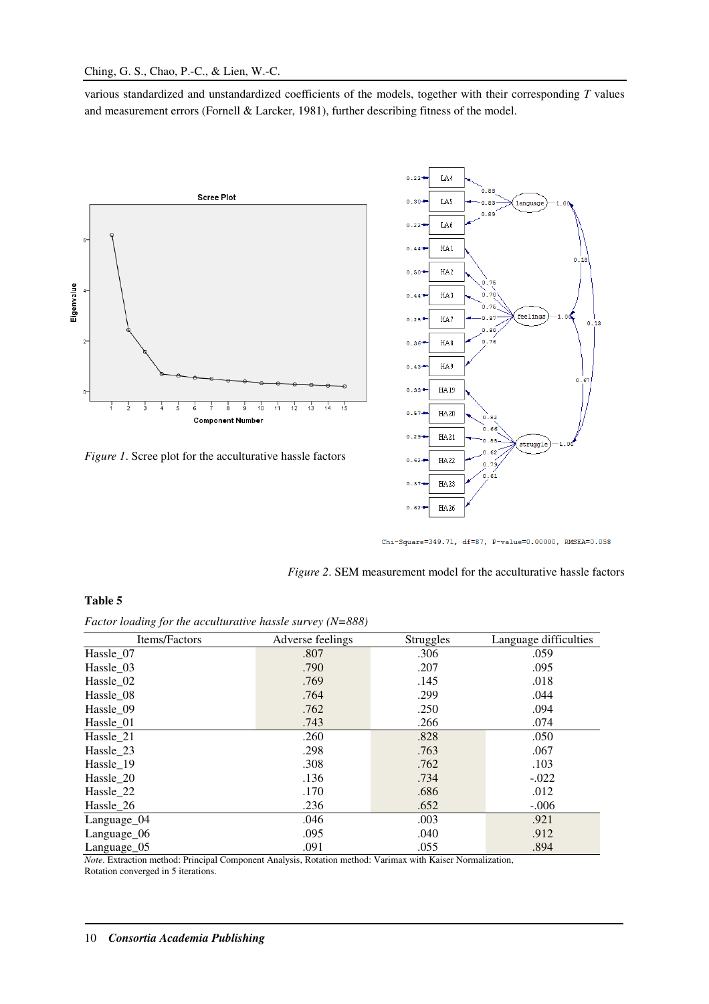various standardized and unstandardized coefficients of the models, together with their corresponding *T* values and measurement errors (Fornell & Larcker, 1981), further describing fitness of the model.







Chi-Square=349.71, df=87, P-value=0.00000, RMSEA=0.058

*Figure 2*. SEM measurement model for the acculturative hassle factors

# **Table 5**

*Factor loading for the acculturative hassle survey (N=888)* 

| Items/Factors | Adverse feelings | <b>Struggles</b> | Language difficulties |
|---------------|------------------|------------------|-----------------------|
| Hassle 07     | .807             | .306             | .059                  |
| Hassle 03     | .790             | .207             | .095                  |
| Hassle_02     | .769             | .145             | .018                  |
| Hassle 08     | .764             | .299             | .044                  |
| Hassle 09     | .762             | .250             | .094                  |
| Hassle 01     | .743             | .266             | .074                  |
| Hassle 21     | .260             | .828             | .050                  |
| Hassle 23     | .298             | .763             | .067                  |
| Hassle 19     | .308             | .762             | .103                  |
| Hassle_20     | .136             | .734             | $-.022$               |
| Hassle_22     | .170             | .686             | .012                  |
| Hassle_26     | .236             | .652             | $-.006$               |
| Language_04   | .046             | .003             | .921                  |
| Language_06   | .095             | .040             | .912                  |
| Language_05   | .091             | .055             | .894                  |

*Note*. Extraction method: Principal Component Analysis, Rotation method: Varimax with Kaiser Normalization, Rotation converged in 5 iterations.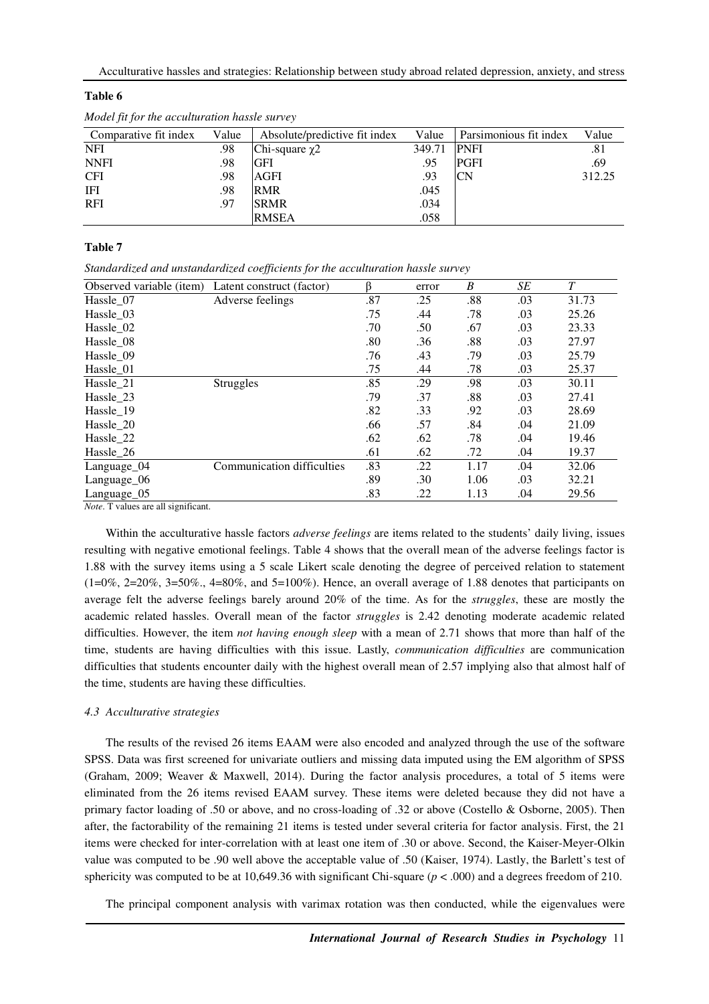#### **Table 6**

| Comparative fit index | Value | Absolute/predictive fit index | Value  | Parsimonious fit index | Value  |
|-----------------------|-------|-------------------------------|--------|------------------------|--------|
| <b>NFI</b>            | .98   | Chi-square $\chi$ 2           | 349.71 | <b>PNFI</b>            | .81    |
| <b>NNFI</b>           | .98   | <b>GFI</b>                    | .95    | PGFI                   | .69    |
| <b>CFI</b>            | .98   | AGFI                          | .93    | CΝ                     | 312.25 |
| IFI                   | .98   | <b>RMR</b>                    | .045   |                        |        |
| <b>RFI</b>            | .97   | <b>SRMR</b>                   | .034   |                        |        |
|                       |       | <b>RMSEA</b>                  | .058   |                        |        |

*Model fit for the acculturation hassle survey* 

#### **Table 7**

*Standardized and unstandardized coefficients for the acculturation hassle survey* 

| Observed variable (item) | Latent construct (factor)  | ß   | error | B    | SE  | T     |
|--------------------------|----------------------------|-----|-------|------|-----|-------|
| Hassle 07                | Adverse feelings           | .87 | .25   | .88  | .03 | 31.73 |
| Hassle 03                |                            | .75 | .44   | .78  | .03 | 25.26 |
| Hassle 02                |                            | .70 | .50   | .67  | .03 | 23.33 |
| Hassle_08                |                            | .80 | .36   | .88  | .03 | 27.97 |
| Hassle 09                |                            | .76 | .43   | .79  | .03 | 25.79 |
| Hassle_01                |                            | .75 | .44   | .78  | .03 | 25.37 |
| Hassle 21                | <b>Struggles</b>           | .85 | .29   | .98  | .03 | 30.11 |
| Hassle 23                |                            | .79 | .37   | .88  | .03 | 27.41 |
| Hassle 19                |                            | .82 | .33   | .92  | .03 | 28.69 |
| Hassle 20                |                            | .66 | .57   | .84  | .04 | 21.09 |
| Hassle 22                |                            | .62 | .62   | .78  | .04 | 19.46 |
| Hassle_26                |                            | .61 | .62   | .72  | .04 | 19.37 |
| Language_04              | Communication difficulties | .83 | .22   | 1.17 | .04 | 32.06 |
| Language_06              |                            | .89 | .30   | 1.06 | .03 | 32.21 |
| Language 05              |                            | .83 | .22   | 1.13 | .04 | 29.56 |

*Note*. T values are all significant.

Within the acculturative hassle factors *adverse feelings* are items related to the students' daily living, issues resulting with negative emotional feelings. Table 4 shows that the overall mean of the adverse feelings factor is 1.88 with the survey items using a 5 scale Likert scale denoting the degree of perceived relation to statement  $(1=0\%, 2=20\%, 3=50\%, 4=80\%, \text{ and } 5=100\%)$ . Hence, an overall average of 1.88 denotes that participants on average felt the adverse feelings barely around 20% of the time. As for the *struggles*, these are mostly the academic related hassles. Overall mean of the factor *struggles* is 2.42 denoting moderate academic related difficulties. However, the item *not having enough sleep* with a mean of 2.71 shows that more than half of the time, students are having difficulties with this issue. Lastly, *communication difficulties* are communication difficulties that students encounter daily with the highest overall mean of 2.57 implying also that almost half of the time, students are having these difficulties.

#### *4.3 Acculturative strategies*

The results of the revised 26 items EAAM were also encoded and analyzed through the use of the software SPSS. Data was first screened for univariate outliers and missing data imputed using the EM algorithm of SPSS (Graham, 2009; Weaver & Maxwell, 2014). During the factor analysis procedures, a total of 5 items were eliminated from the 26 items revised EAAM survey. These items were deleted because they did not have a primary factor loading of .50 or above, and no cross-loading of .32 or above (Costello & Osborne, 2005). Then after, the factorability of the remaining 21 items is tested under several criteria for factor analysis. First, the 21 items were checked for inter-correlation with at least one item of .30 or above. Second, the Kaiser-Meyer-Olkin value was computed to be .90 well above the acceptable value of .50 (Kaiser, 1974). Lastly, the Barlett's test of sphericity was computed to be at 10,649.36 with significant Chi-square ( $p < .000$ ) and a degrees freedom of 210.

The principal component analysis with varimax rotation was then conducted, while the eigenvalues were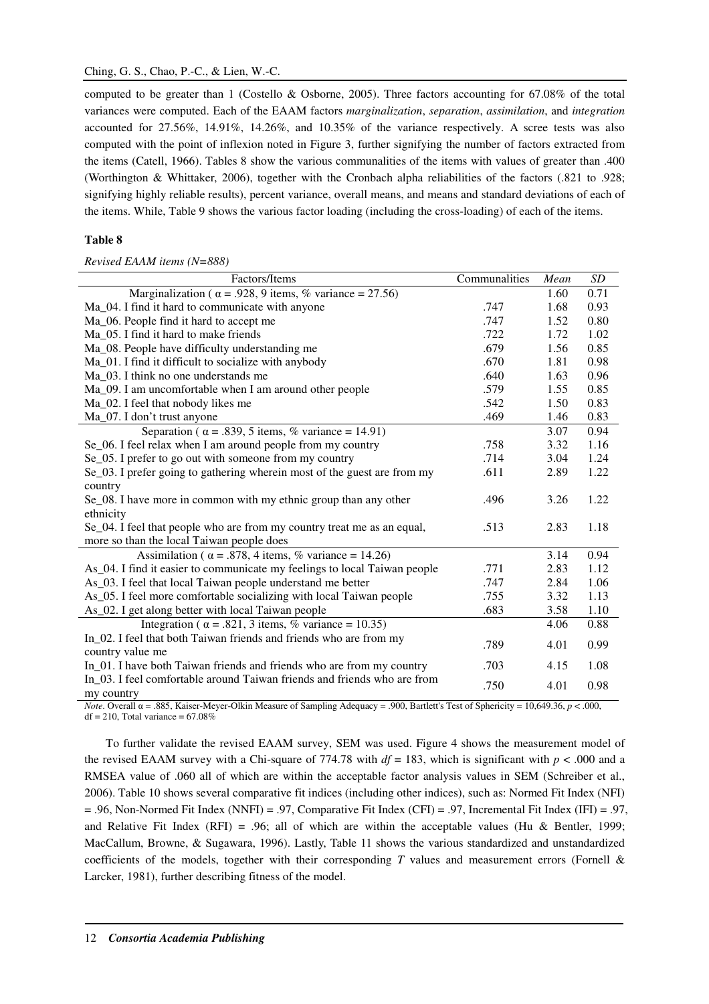computed to be greater than 1 (Costello & Osborne, 2005). Three factors accounting for 67.08% of the total variances were computed. Each of the EAAM factors *marginalization*, *separation*, *assimilation*, and *integration* accounted for 27.56%, 14.91%, 14.26%, and 10.35% of the variance respectively. A scree tests was also computed with the point of inflexion noted in Figure 3, further signifying the number of factors extracted from the items (Catell, 1966). Tables 8 show the various communalities of the items with values of greater than .400 (Worthington & Whittaker, 2006), together with the Cronbach alpha reliabilities of the factors (.821 to .928; signifying highly reliable results), percent variance, overall means, and means and standard deviations of each of the items. While, Table 9 shows the various factor loading (including the cross-loading) of each of the items.

# **Table 8**

*Revised EAAM items (N=888)* 

| Factors/Items                                                             | Communalities | Mean | SD   |
|---------------------------------------------------------------------------|---------------|------|------|
| Marginalization ( $\alpha$ = .928, 9 items, % variance = 27.56)           |               | 1.60 | 0.71 |
| Ma_04. I find it hard to communicate with anyone                          | .747          | 1.68 | 0.93 |
| Ma_06. People find it hard to accept me                                   | .747          | 1.52 | 0.80 |
| Ma_05. I find it hard to make friends                                     | .722          | 1.72 | 1.02 |
| Ma_08. People have difficulty understanding me                            | .679          | 1.56 | 0.85 |
| Ma_01. I find it difficult to socialize with anybody                      | .670          | 1.81 | 0.98 |
| Ma_03. I think no one understands me                                      | .640          | 1.63 | 0.96 |
| Ma_09. I am uncomfortable when I am around other people                   | .579          | 1.55 | 0.85 |
| Ma_02. I feel that nobody likes me                                        | .542          | 1.50 | 0.83 |
| Ma_07. I don't trust anyone                                               | .469          | 1.46 | 0.83 |
| Separation ( $\alpha$ = .839, 5 items, % variance = 14.91)                |               | 3.07 | 0.94 |
| Se_06. I feel relax when I am around people from my country               | .758          | 3.32 | 1.16 |
| Se_05. I prefer to go out with someone from my country                    | .714          | 3.04 | 1.24 |
| Se_03. I prefer going to gathering wherein most of the guest are from my  | .611          | 2.89 | 1.22 |
| country                                                                   |               |      |      |
| Se_08. I have more in common with my ethnic group than any other          | .496          | 3.26 | 1.22 |
| ethnicity                                                                 |               |      |      |
| Se_04. I feel that people who are from my country treat me as an equal,   | .513          | 2.83 | 1.18 |
| more so than the local Taiwan people does                                 |               |      |      |
| Assimilation ( $\alpha$ = .878, 4 items, % variance = 14.26)              |               | 3.14 | 0.94 |
| As 04. I find it easier to communicate my feelings to local Taiwan people | .771          | 2.83 | 1.12 |
| As_03. I feel that local Taiwan people understand me better               | .747          | 2.84 | 1.06 |
| As_05. I feel more comfortable socializing with local Taiwan people       | .755          | 3.32 | 1.13 |
| As_02. I get along better with local Taiwan people                        | .683          | 3.58 | 1.10 |
| Integration ( $\alpha$ = .821, 3 items, % variance = 10.35)               |               | 4.06 | 0.88 |
| In_02. I feel that both Taiwan friends and friends who are from my        | .789          | 4.01 | 0.99 |
| country value me                                                          |               |      |      |
| In 01. I have both Taiwan friends and friends who are from my country     | .703          | 4.15 | 1.08 |
| In 03. I feel comfortable around Taiwan friends and friends who are from  | .750          | 4.01 | 0.98 |
| my country                                                                |               |      |      |

*Note*. Overall α = .885, Kaiser-Meyer-Olkin Measure of Sampling Adequacy = .900, Bartlett's Test of Sphericity = 10,649.36, *p* < .000,  $df = 210$ , Total variance = 67.08%

To further validate the revised EAAM survey, SEM was used. Figure 4 shows the measurement model of the revised EAAM survey with a Chi-square of 774.78 with  $df = 183$ , which is significant with  $p < .000$  and a RMSEA value of .060 all of which are within the acceptable factor analysis values in SEM (Schreiber et al., 2006). Table 10 shows several comparative fit indices (including other indices), such as: Normed Fit Index (NFI)  $= .96$ , Non-Normed Fit Index (NNFI) = .97, Comparative Fit Index (CFI) = .97, Incremental Fit Index (IFI) = .97, and Relative Fit Index (RFI) = .96; all of which are within the acceptable values (Hu & Bentler, 1999; MacCallum, Browne, & Sugawara, 1996). Lastly, Table 11 shows the various standardized and unstandardized coefficients of the models, together with their corresponding *T* values and measurement errors (Fornell & Larcker, 1981), further describing fitness of the model.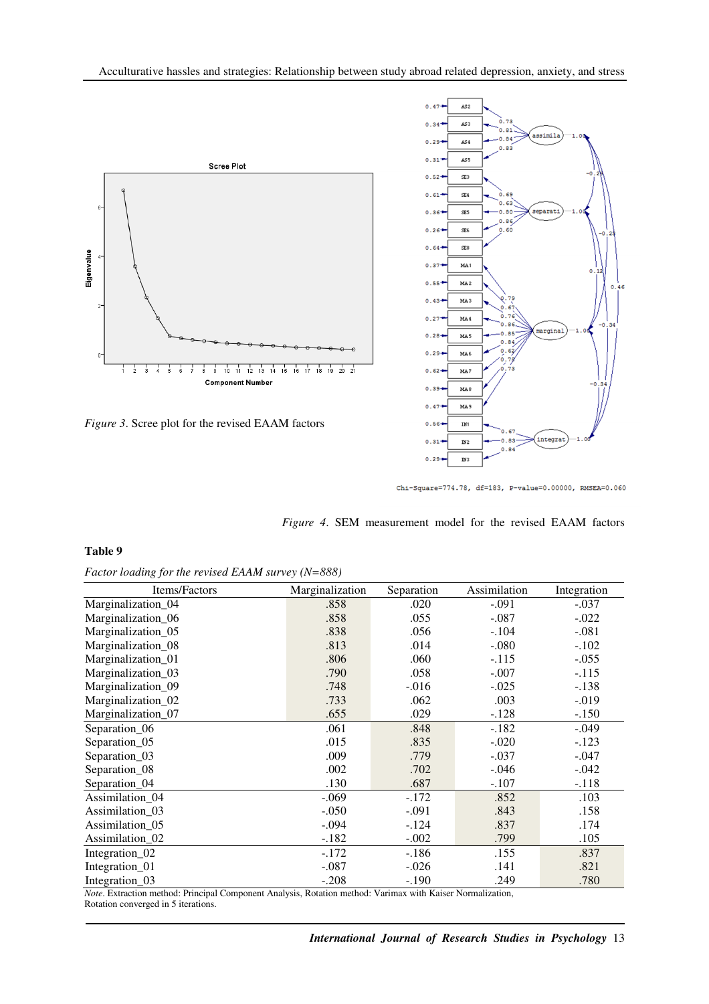

*Figure 3*. Scree plot for the revised EAAM factors



Chi-Square=774.78, df=183, P-value=0.00000, RMSEA=0.060

|  |  |  | <i>Figure 4.</i> SEM measurement model for the revised EAAM factors |  |  |  |  |  |  |
|--|--|--|---------------------------------------------------------------------|--|--|--|--|--|--|
|--|--|--|---------------------------------------------------------------------|--|--|--|--|--|--|

#### **Table 9**

|  |  |  | Factor loading for the revised EAAM survey (N=888) |
|--|--|--|----------------------------------------------------|
|  |  |  |                                                    |

| Items/Factors              | Marginalization | Separation | Assimilation | Integration |
|----------------------------|-----------------|------------|--------------|-------------|
| Marginalization_04         | .858            | .020       | $-.091$      | $-.037$     |
| Marginalization_06         | .858            | .055       | $-.087$      | $-.022$     |
| Marginalization_05         | .838            | .056       | $-.104$      | $-.081$     |
| Marginalization_08         | .813            | .014       | $-.080$      | $-.102$     |
| Marginalization_01         | .806            | .060       | $-.115$      | $-.055$     |
| Marginalization_03         | .790            | .058       | $-.007$      | $-.115$     |
| Marginalization_09         | .748            | $-.016$    | $-.025$      | $-.138$     |
| Marginalization_02         | .733            | .062       | .003         | $-0.019$    |
| Marginalization_07         | .655            | .029       | $-.128$      | $-.150$     |
| Separation_06              | .061            | .848       | $-.182$      | $-.049$     |
| Separation_05              | .015            | .835       | $-.020$      | $-.123$     |
| Separation_03              | .009            | .779       | $-.037$      | $-.047$     |
| Separation_08              | .002            | .702       | $-.046$      | $-.042$     |
| Separation_04              | .130            | .687       | $-.107$      | $-.118$     |
| Assimilation_04            | $-.069$         | $-.172$    | .852         | .103        |
| Assimilation 03            | $-.050$         | $-.091$    | .843         | .158        |
| Assimilation_05            | $-.094$         | $-124$     | .837         | .174        |
| Assimilation_02            | $-.182$         | $-.002$    | .799         | .105        |
| Integration <sub>_02</sub> | $-172$          | $-186$     | .155         | .837        |
| Integration_01             | $-.087$         | $-.026$    | .141         | .821        |
| Integration_03             | $-.208$         | $-.190$    | .249         | .780        |

*Note*. Extraction method: Principal Component Analysis, Rotation method: Varimax with Kaiser Normalization, Rotation converged in 5 iterations.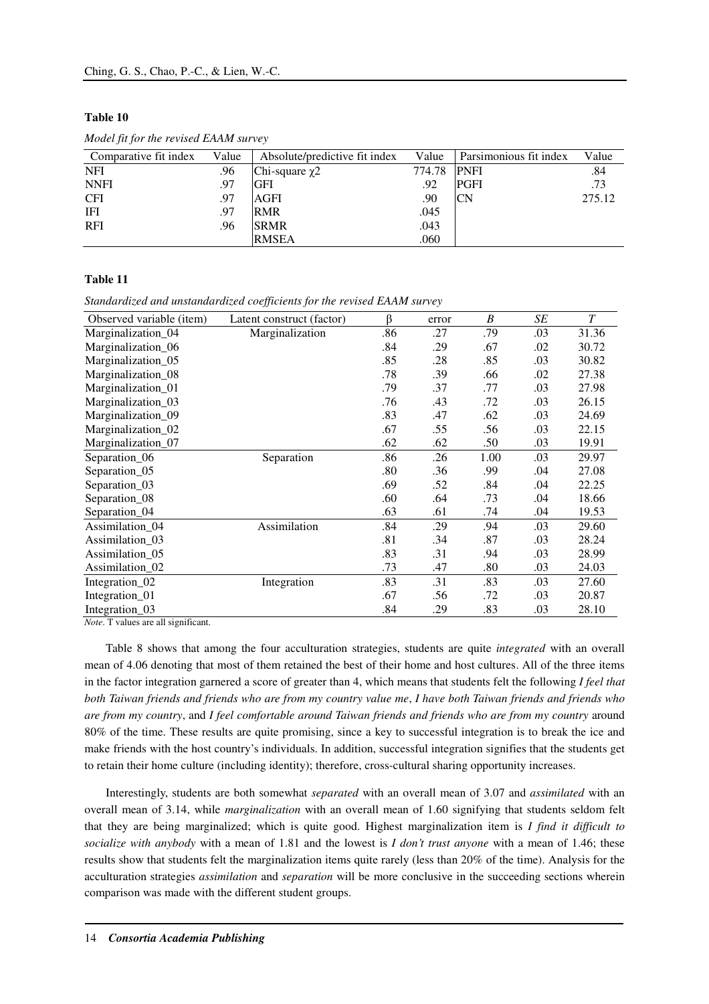# **Table 10**

| Comparative fit index | Value | Absolute/predictive fit index | Value  | Parsimonious fit index | Value  |
|-----------------------|-------|-------------------------------|--------|------------------------|--------|
| <b>NFI</b>            | .96   | Chi-square $\chi$ 2           | 774.78 | <b>PNFI</b>            | .84    |
| <b>NNFI</b>           | .97   | <b>GFI</b>                    | .92    | PGFI                   | .73    |
| <b>CFI</b>            | .97   | AGFI                          | .90    | <b>CN</b>              | 275.12 |
| IFI                   | .97   | <b>RMR</b>                    | .045   |                        |        |
| <b>RFI</b>            | .96   | <b>SRMR</b>                   | .043   |                        |        |
|                       |       | <b>RMSEA</b>                  | .060   |                        |        |

*Model fit for the revised EAAM survey* 

# **Table 11**

*Standardized and unstandardized coefficients for the revised EAAM survey* 

| Observed variable (item)    | Latent construct (factor) | ß   | error | B    | SE  | T     |
|-----------------------------|---------------------------|-----|-------|------|-----|-------|
| Marginalization_04          | Marginalization           | .86 | .27   | .79  | .03 | 31.36 |
| Marginalization 06          |                           | .84 | .29   | .67  | .02 | 30.72 |
| Marginalization_05          |                           | .85 | .28   | .85  | .03 | 30.82 |
| Marginalization_08          |                           | .78 | .39   | .66  | .02 | 27.38 |
| Marginalization_01          |                           | .79 | .37   | .77  | .03 | 27.98 |
| Marginalization_03          |                           | .76 | .43   | .72  | .03 | 26.15 |
| Marginalization_09          |                           | .83 | .47   | .62  | .03 | 24.69 |
| Marginalization_02          |                           | .67 | .55   | .56  | .03 | 22.15 |
| Marginalization_07          |                           | .62 | .62   | .50  | .03 | 19.91 |
| Separation_06               | Separation                | .86 | .26   | 1.00 | .03 | 29.97 |
| Separation_05               |                           | .80 | .36   | .99  | .04 | 27.08 |
| Separation_03               |                           | .69 | .52   | .84  | .04 | 22.25 |
| Separation_08               |                           | .60 | .64   | .73  | .04 | 18.66 |
| Separation_04               |                           | .63 | .61   | .74  | .04 | 19.53 |
| Assimilation_04             | Assimilation              | .84 | .29   | .94  | .03 | 29.60 |
| Assimilation_03             |                           | .81 | .34   | .87  | .03 | 28.24 |
| Assimilation_05             |                           | .83 | .31   | .94  | .03 | 28.99 |
| Assimilation <sub>_02</sub> |                           | .73 | .47   | .80  | .03 | 24.03 |
| Integration <sub>_02</sub>  | Integration               | .83 | .31   | .83  | .03 | 27.60 |
| Integration_01              |                           | .67 | .56   | .72  | .03 | 20.87 |
| Integration 03              |                           | .84 | .29   | .83  | .03 | 28.10 |

*Note*. T values are all significant.

Table 8 shows that among the four acculturation strategies, students are quite *integrated* with an overall mean of 4.06 denoting that most of them retained the best of their home and host cultures. All of the three items in the factor integration garnered a score of greater than 4, which means that students felt the following *I feel that both Taiwan friends and friends who are from my country value me*, *I have both Taiwan friends and friends who are from my country*, and *I feel comfortable around Taiwan friends and friends who are from my country* around 80% of the time. These results are quite promising, since a key to successful integration is to break the ice and make friends with the host country's individuals. In addition, successful integration signifies that the students get to retain their home culture (including identity); therefore, cross-cultural sharing opportunity increases.

Interestingly, students are both somewhat *separated* with an overall mean of 3.07 and *assimilated* with an overall mean of 3.14, while *marginalization* with an overall mean of 1.60 signifying that students seldom felt that they are being marginalized; which is quite good. Highest marginalization item is *I find it difficult to socialize with anybody* with a mean of 1.81 and the lowest is *I don't trust anyone* with a mean of 1.46; these results show that students felt the marginalization items quite rarely (less than 20% of the time). Analysis for the acculturation strategies *assimilation* and *separation* will be more conclusive in the succeeding sections wherein comparison was made with the different student groups.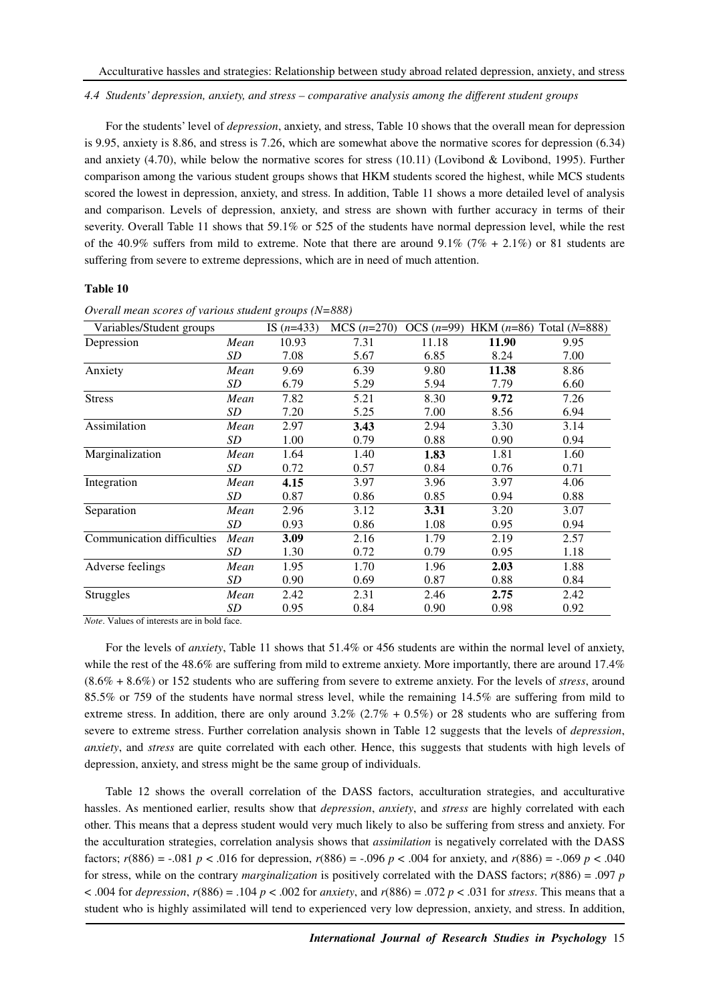*4.4 Students' depression, anxiety, and stress – comparative analysis among the different student groups* 

For the students' level of *depression*, anxiety, and stress, Table 10 shows that the overall mean for depression is 9.95, anxiety is 8.86, and stress is 7.26, which are somewhat above the normative scores for depression (6.34) and anxiety (4.70), while below the normative scores for stress (10.11) (Lovibond & Lovibond, 1995). Further comparison among the various student groups shows that HKM students scored the highest, while MCS students scored the lowest in depression, anxiety, and stress. In addition, Table 11 shows a more detailed level of analysis and comparison. Levels of depression, anxiety, and stress are shown with further accuracy in terms of their severity. Overall Table 11 shows that 59.1% or 525 of the students have normal depression level, while the rest of the 40.9% suffers from mild to extreme. Note that there are around  $9.1\%$  (7% + 2.1%) or 81 students are suffering from severe to extreme depressions, which are in need of much attention.

#### **Table 10**

| Variables/Student groups   |           | IS $(n=433)$ | $MCS (n=270)$ |       |       | OCS $(n=99)$ HKM $(n=86)$ Total $(N=888)$ |
|----------------------------|-----------|--------------|---------------|-------|-------|-------------------------------------------|
| Depression                 | Mean      | 10.93        | 7.31          | 11.18 | 11.90 | 9.95                                      |
|                            | SD        | 7.08         | 5.67          | 6.85  | 8.24  | 7.00                                      |
| Anxiety                    | Mean      | 9.69         | 6.39          | 9.80  | 11.38 | 8.86                                      |
|                            | SD        | 6.79         | 5.29          | 5.94  | 7.79  | 6.60                                      |
| <b>Stress</b>              | Mean      | 7.82         | 5.21          | 8.30  | 9.72  | 7.26                                      |
|                            | SD        | 7.20         | 5.25          | 7.00  | 8.56  | 6.94                                      |
| Assimilation               | Mean      | 2.97         | 3.43          | 2.94  | 3.30  | 3.14                                      |
|                            | SD        | 1.00         | 0.79          | 0.88  | 0.90  | 0.94                                      |
| Marginalization            | Mean      | 1.64         | 1.40          | 1.83  | 1.81  | 1.60                                      |
|                            | SD        | 0.72         | 0.57          | 0.84  | 0.76  | 0.71                                      |
| Integration                | Mean      | 4.15         | 3.97          | 3.96  | 3.97  | 4.06                                      |
|                            | SD        | 0.87         | 0.86          | 0.85  | 0.94  | 0.88                                      |
| Separation                 | Mean      | 2.96         | 3.12          | 3.31  | 3.20  | 3.07                                      |
|                            | <i>SD</i> | 0.93         | 0.86          | 1.08  | 0.95  | 0.94                                      |
| Communication difficulties | Mean      | 3.09         | 2.16          | 1.79  | 2.19  | 2.57                                      |
|                            | SD        | 1.30         | 0.72          | 0.79  | 0.95  | 1.18                                      |
| Adverse feelings           | Mean      | 1.95         | 1.70          | 1.96  | 2.03  | 1.88                                      |
|                            | <i>SD</i> | 0.90         | 0.69          | 0.87  | 0.88  | 0.84                                      |
| <b>Struggles</b>           | Mean      | 2.42         | 2.31          | 2.46  | 2.75  | 2.42                                      |
|                            | <b>SD</b> | 0.95         | 0.84          | 0.90  | 0.98  | 0.92                                      |

*Overall mean scores of various student groups (N=888)* 

*Note*. Values of interests are in bold face.

For the levels of *anxiety*, Table 11 shows that 51.4% or 456 students are within the normal level of anxiety, while the rest of the 48.6% are suffering from mild to extreme anxiety. More importantly, there are around 17.4% (8.6% + 8.6%) or 152 students who are suffering from severe to extreme anxiety. For the levels of *stress*, around 85.5% or 759 of the students have normal stress level, while the remaining 14.5% are suffering from mild to extreme stress. In addition, there are only around  $3.2\%$  ( $2.7\%$  + 0.5%) or 28 students who are suffering from severe to extreme stress. Further correlation analysis shown in Table 12 suggests that the levels of *depression*, *anxiety*, and *stress* are quite correlated with each other. Hence, this suggests that students with high levels of depression, anxiety, and stress might be the same group of individuals.

Table 12 shows the overall correlation of the DASS factors, acculturation strategies, and acculturative hassles. As mentioned earlier, results show that *depression*, *anxiety*, and *stress* are highly correlated with each other. This means that a depress student would very much likely to also be suffering from stress and anxiety. For the acculturation strategies, correlation analysis shows that *assimilation* is negatively correlated with the DASS factors; *r*(886) = -.081 *p* < .016 for depression, *r*(886) = -.096 *p* < .004 for anxiety, and *r*(886) = -.069 *p* < .040 for stress, while on the contrary *marginalization* is positively correlated with the DASS factors; *r*(886) = .097 *p*   $(0.004 \text{ for } \text{depression}, r(886) = .104 \text{ p} < .002 \text{ for } \text{anxity}, \text{ and } r(886) = .072 \text{ p} < .031 \text{ for } \text{stress}.$  This means that a student who is highly assimilated will tend to experienced very low depression, anxiety, and stress. In addition,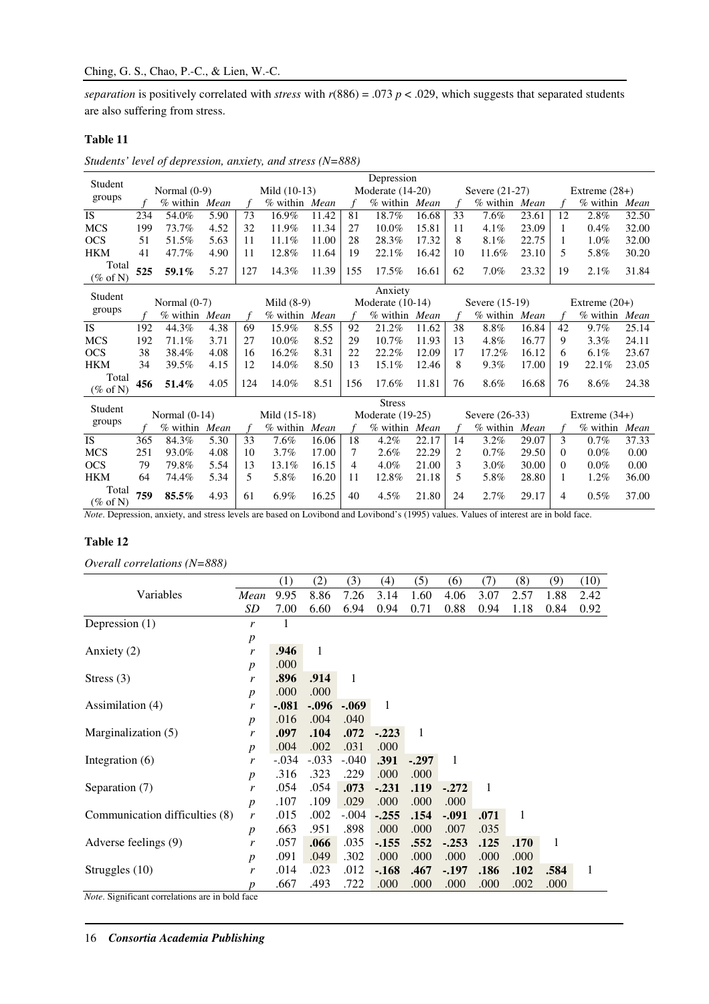*separation* is positively correlated with *stress* with *r*(886) = .073 *p* < .029, which suggests that separated students are also suffering from stress.

# **Table 11**

*Students' level of depression, anxiety, and stress (N=888)* 

| Student                      |     |                 |      |     |                |       |               | Depression         |       |    |                |       |    |                 |       |
|------------------------------|-----|-----------------|------|-----|----------------|-------|---------------|--------------------|-------|----|----------------|-------|----|-----------------|-------|
|                              |     | Normal $(0-9)$  |      |     | Mild $(10-13)$ |       |               | Moderate $(14-20)$ |       |    | Severe (21-27) |       |    | Extreme $(28+)$ |       |
| groups                       |     | % within Mean   |      |     | % within Mean  |       | $\mathcal{F}$ | % within Mean      |       |    | $%$ within     | Mean  |    | $%$ within      | Mean  |
| <b>IS</b>                    | 234 | 54.0%           | 5.90 | 73  | 16.9%          | 11.42 | 81            | 18.7%              | 16.68 | 33 | 7.6%           | 23.61 | 12 | 2.8%            | 32.50 |
| <b>MCS</b>                   | 199 | 73.7%           | 4.52 | 32  | 11.9%          | 11.34 | 27            | $10.0\%$           | 15.81 | 11 | 4.1%           | 23.09 |    | 0.4%            | 32.00 |
| <b>OCS</b>                   | 51  | 51.5%           | 5.63 | 11  | 11.1%          | 11.00 | 28            | 28.3%              | 17.32 | 8  | 8.1%           | 22.75 |    | $1.0\%$         | 32.00 |
| <b>HKM</b>                   | 41  | 47.7%           | 4.90 | 11  | 12.8%          | 11.64 | 19            | 22.1%              | 16.42 | 10 | 11.6%          | 23.10 | 5. | 5.8%            | 30.20 |
| Total<br>$(\% \text{ of N})$ | 525 | 59.1%           | 5.27 | 127 | 14.3%          | 11.39 | 155           | 17.5%              | 16.61 | 62 | 7.0%           | 23.32 | 19 | 2.1%            | 31.84 |
|                              |     |                 |      |     |                |       |               | Anxiety            |       |    |                |       |    |                 |       |
| Student                      |     | Normal $(0-7)$  |      |     | Mild $(8-9)$   |       |               | Moderate $(10-14)$ |       |    | Severe (15-19) |       |    | Extreme $(20+)$ |       |
| groups                       |     | % within Mean   |      |     | % within Mean  |       | $\mathcal{L}$ | % within Mean      |       | f  | % within Mean  |       |    | % within Mean   |       |
| <b>IS</b>                    | 192 | 44.3%           | 4.38 | 69  | 15.9%          | 8.55  | 92            | 21.2%              | 11.62 | 38 | 8.8%           | 16.84 | 42 | 9.7%            | 25.14 |
| <b>MCS</b>                   | 192 | 71.1%           | 3.71 | 27  | $10.0\%$       | 8.52  | 29            | $10.7\%$           | 11.93 | 13 | 4.8%           | 16.77 | 9  | $3.3\%$         | 24.11 |
| <b>OCS</b>                   | 38  | 38.4%           | 4.08 | 16  | 16.2%          | 8.31  | 22            | 22.2%              | 12.09 | 17 | 17.2%          | 16.12 | 6  | 6.1%            | 23.67 |
| <b>HKM</b>                   | 34  | 39.5%           | 4.15 | 12  | 14.0%          | 8.50  | 13            | 15.1%              | 12.46 | 8  | 9.3%           | 17.00 | 19 | 22.1%           | 23.05 |
| Total<br>$(\% \text{ of N})$ | 456 | 51.4%           | 4.05 | 124 | 14.0%          | 8.51  | 156           | 17.6%              | 11.81 | 76 | 8.6%           | 16.68 | 76 | 8.6%            | 24.38 |
| Student                      |     |                 |      |     |                |       |               | <b>Stress</b>      |       |    |                |       |    |                 |       |
|                              |     | Normal $(0-14)$ |      |     | Mild (15-18)   |       |               | Moderate $(19-25)$ |       |    | Severe (26-33) |       |    | Extreme $(34+)$ |       |
| groups                       |     | % within Mean   |      | f   | % within Mean  |       | $\mathcal{L}$ | % within Mean      |       | f  | % within Mean  |       |    | % within Mean   |       |
| <b>IS</b>                    | 365 | 84.3%           | 5.30 | 33  | 7.6%           | 16.06 | 18            | 4.2%               | 22.17 | 14 | 3.2%           | 29.07 | 3  | 0.7%            | 37.33 |
| <b>MCS</b>                   | 251 | 93.0%           | 4.08 | 10  | 3.7%           | 17.00 | 7             | 2.6%               | 22.29 | 2  | 0.7%           | 29.50 | 0  | $0.0\%$         | 0.00  |
| <b>OCS</b>                   | 79  | 79.8%           | 5.54 | 13  | 13.1%          | 16.15 | 4             | 4.0%               | 21.00 | 3  | $3.0\%$        | 30.00 | 0  | $0.0\%$         | 0.00  |
| <b>HKM</b>                   | 64  | 74.4%           | 5.34 | 5   | 5.8%           | 16.20 | 11            | 12.8%              | 21.18 | 5  | 5.8%           | 28.80 | 1  | 1.2%            | 36.00 |
| Total<br>$(\% \text{ of N})$ | 759 | 85.5%           | 4.93 | 61  | $6.9\%$        | 16.25 | 40            | 4.5%               | 21.80 | 24 | 2.7%           | 29.17 | 4  | $0.5\%$         | 37.00 |

*Note*. Depression, anxiety, and stress levels are based on Lovibond and Lovibond's (1995) values. Values of interest are in bold face.

# **Table 12**

*Overall correlations (N=888)* 

|                                |                  | (1)     | (2)     | (3)          | (4)     | (5)          | (6)      | (7)  | (8)  | (9)  | (10) |
|--------------------------------|------------------|---------|---------|--------------|---------|--------------|----------|------|------|------|------|
| Variables                      | Mean             | 9.95    | 8.86    | 7.26         | 3.14    | 1.60         | 4.06     | 3.07 | 2.57 | 1.88 | 2.42 |
|                                | SD               | 7.00    | 6.60    | 6.94         | 0.94    | 0.71         | 0.88     | 0.94 | 1.18 | 0.84 | 0.92 |
| Depression $(1)$               | r                | 1       |         |              |         |              |          |      |      |      |      |
|                                | $\boldsymbol{p}$ |         |         |              |         |              |          |      |      |      |      |
| Anxiety $(2)$                  | r                | .946    | 1       |              |         |              |          |      |      |      |      |
|                                | $\boldsymbol{p}$ | .000    |         |              |         |              |          |      |      |      |      |
| Stress $(3)$                   | r                | .896    | .914    | $\mathbf{1}$ |         |              |          |      |      |      |      |
|                                | $\boldsymbol{p}$ | .000    | .000    |              |         |              |          |      |      |      |      |
| Assimilation (4)               | r                | $-.081$ | $-.096$ | $-.069$      | 1       |              |          |      |      |      |      |
|                                | $\boldsymbol{p}$ | .016    | .004    | .040         |         |              |          |      |      |      |      |
| Marginalization (5)            | r                | .097    | .104    | .072         | $-.223$ | $\mathbf{1}$ |          |      |      |      |      |
|                                | $\boldsymbol{p}$ | .004    | .002    | .031         | .000    |              |          |      |      |      |      |
| Integration (6)                | r                | $-.034$ | $-.033$ | $-.040$      | .391    | $-.297$      | -1       |      |      |      |      |
|                                | $\boldsymbol{p}$ | .316    | .323    | .229         | .000    | .000         |          |      |      |      |      |
| Separation (7)                 | r                | .054    | .054    | .073         | $-.231$ | .119         | $-.272$  | 1    |      |      |      |
|                                | $\boldsymbol{p}$ | .107    | .109    | .029         | .000    | .000         | .000     |      |      |      |      |
| Communication difficulties (8) | $\mathbf{r}$     | .015    | .002    | $-.004$      | $-.255$ | .154         | $-.091$  | .071 | 1    |      |      |
|                                | $\boldsymbol{p}$ | .663    | .951    | .898         | .000    | .000         | .007     | .035 |      |      |      |
| Adverse feelings (9)           | r                | .057    | .066    | .035         | $-155$  | .552         | $-0.253$ | .125 | .170 | 1    |      |
|                                | $\boldsymbol{p}$ | .091    | .049    | .302         | .000    | .000         | .000     | .000 | .000 |      |      |
| Struggles (10)                 | r                | .014    | .023    | .012         | $-168$  | .467         | $-.197$  | .186 | .102 | .584 | 1    |
|                                | p                | .667    | .493    | .722         | .000    | .000         | .000     | .000 | .002 | .000 |      |

*Note*. Significant correlations are in bold face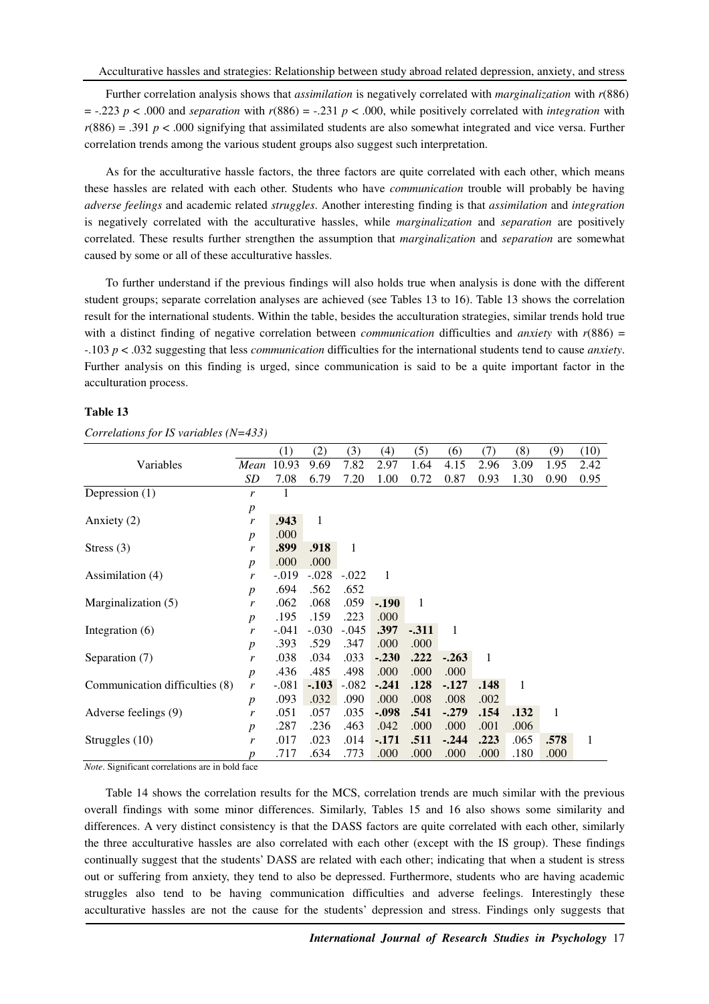Further correlation analysis shows that *assimilation* is negatively correlated with *marginalization* with *r*(886)  $=$  -.223 *p* < .000 and *separation* with  $r(886) = -0.231$  *p* < .000, while positively correlated with *integration* with  $r(886) = .391 p < .000$  signifying that assimilated students are also somewhat integrated and vice versa. Further correlation trends among the various student groups also suggest such interpretation.

As for the acculturative hassle factors, the three factors are quite correlated with each other, which means these hassles are related with each other. Students who have *communication* trouble will probably be having *adverse feelings* and academic related *struggles*. Another interesting finding is that *assimilation* and *integration* is negatively correlated with the acculturative hassles, while *marginalization* and *separation* are positively correlated. These results further strengthen the assumption that *marginalization* and *separation* are somewhat caused by some or all of these acculturative hassles.

To further understand if the previous findings will also holds true when analysis is done with the different student groups; separate correlation analyses are achieved (see Tables 13 to 16). Table 13 shows the correlation result for the international students. Within the table, besides the acculturation strategies, similar trends hold true with a distinct finding of negative correlation between *communication* difficulties and *anxiety* with  $r(886)$  = -.103 *p* < .032 suggesting that less *communication* difficulties for the international students tend to cause *anxiety*. Further analysis on this finding is urged, since communication is said to be a quite important factor in the acculturation process.

#### **Table 13**

|                                |                  | (1)      | (2)     | (3)          | (4)     | (5)    | (6)     | (7)  | (8)          | (9)  | (10)         |
|--------------------------------|------------------|----------|---------|--------------|---------|--------|---------|------|--------------|------|--------------|
| Variables                      | Mean             | 10.93    | 9.69    | 7.82         | 2.97    | 1.64   | 4.15    | 2.96 | 3.09         | 1.95 | 2.42         |
|                                | SD               | 7.08     | 6.79    | 7.20         | 1.00    | 0.72   | 0.87    | 0.93 | 1.30         | 0.90 | 0.95         |
| Depression $(1)$               | r                | 1        |         |              |         |        |         |      |              |      |              |
|                                | $\boldsymbol{p}$ |          |         |              |         |        |         |      |              |      |              |
| Anxiety (2)                    | r                | .943     | 1       |              |         |        |         |      |              |      |              |
|                                | $\boldsymbol{p}$ | .000     |         |              |         |        |         |      |              |      |              |
| Stress $(3)$                   | r                | .899     | .918    | $\mathbf{1}$ |         |        |         |      |              |      |              |
|                                | $\boldsymbol{p}$ | .000     | .000    |              |         |        |         |      |              |      |              |
| Assimilation (4)               | r                | $-0.019$ | $-.028$ | $-.022$      | 1       |        |         |      |              |      |              |
|                                | $\boldsymbol{p}$ | .694     | .562    | .652         |         |        |         |      |              |      |              |
| Marginalization (5)            | r                | .062     | .068    | .059         | $-.190$ | 1      |         |      |              |      |              |
|                                | $\boldsymbol{p}$ | .195     | .159    | .223         | .000    |        |         |      |              |      |              |
| Integration $(6)$              | r                | $-.041$  | $-.030$ | $-.045$      | .397    | $-311$ | -1      |      |              |      |              |
|                                | $\boldsymbol{p}$ | .393     | .529    | .347         | .000    | .000   |         |      |              |      |              |
| Separation (7)                 | r                | .038     | .034    | .033         | $-.230$ | .222   | $-.263$ | 1    |              |      |              |
|                                | $\boldsymbol{p}$ | .436     | .485    | .498         | .000    | .000   | .000    |      |              |      |              |
| Communication difficulties (8) | r                | $-.081$  | $-.103$ | $-.082$      | $-.241$ | .128   | $-.127$ | .148 | $\mathbf{1}$ |      |              |
|                                | $\boldsymbol{p}$ | .093     | .032    | .090         | .000    | .008   | .008    | .002 |              |      |              |
| Adverse feelings (9)           | r                | .051     | .057    | .035         | $-.098$ | .541   | $-.279$ | .154 | .132         | 1    |              |
|                                | $\boldsymbol{p}$ | .287     | .236    | .463         | .042    | .000   | .000    | .001 | .006         |      |              |
| Struggles (10)                 | r                | .017     | .023    | .014         | $-171$  | .511   | $-.244$ | .223 | .065         | .578 | $\mathbf{1}$ |
|                                | p                | .717     | .634    | .773         | .000    | .000   | .000    | .000 | .180         | .000 |              |

*Correlations for IS variables (N=433)* 

*Note*. Significant correlations are in bold face

Table 14 shows the correlation results for the MCS, correlation trends are much similar with the previous overall findings with some minor differences. Similarly, Tables 15 and 16 also shows some similarity and differences. A very distinct consistency is that the DASS factors are quite correlated with each other, similarly the three acculturative hassles are also correlated with each other (except with the IS group). These findings continually suggest that the students' DASS are related with each other; indicating that when a student is stress out or suffering from anxiety, they tend to also be depressed. Furthermore, students who are having academic struggles also tend to be having communication difficulties and adverse feelings. Interestingly these acculturative hassles are not the cause for the students' depression and stress. Findings only suggests that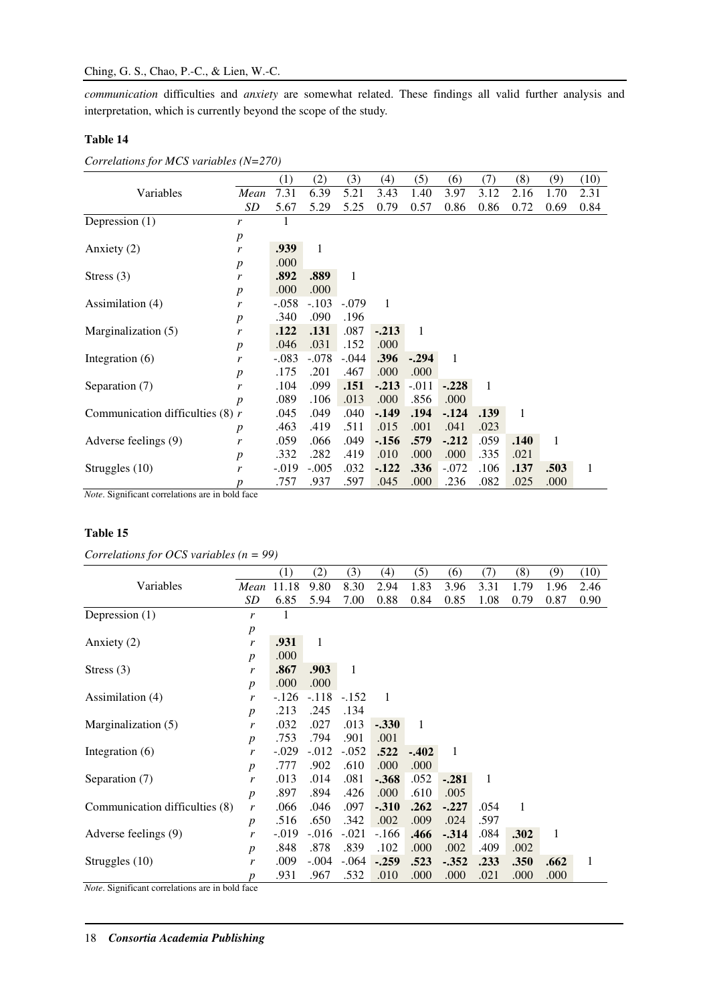*communication* difficulties and *anxiety* are somewhat related. These findings all valid further analysis and interpretation, which is currently beyond the scope of the study.

# **Table 14**

|                                    |                  | (1)      | (2)     | (3)     | (4)    | (5)     | (6)          | (7)          | (8)  | (9)  | (10) |
|------------------------------------|------------------|----------|---------|---------|--------|---------|--------------|--------------|------|------|------|
| Variables                          | Mean             | 7.31     | 6.39    | 5.21    | 3.43   | 1.40    | 3.97         | 3.12         | 2.16 | 1.70 | 2.31 |
|                                    | SD               | 5.67     | 5.29    | 5.25    | 0.79   | 0.57    | 0.86         | 0.86         | 0.72 | 0.69 | 0.84 |
| Depression $(1)$                   | r                | 1        |         |         |        |         |              |              |      |      |      |
|                                    | $\boldsymbol{p}$ |          |         |         |        |         |              |              |      |      |      |
| Anxiety $(2)$                      | r                | .939     | 1       |         |        |         |              |              |      |      |      |
|                                    | $\boldsymbol{p}$ | .000     |         |         |        |         |              |              |      |      |      |
| Stress $(3)$                       | r                | .892     | .889    | 1       |        |         |              |              |      |      |      |
|                                    | $\boldsymbol{p}$ | .000     | .000    |         |        |         |              |              |      |      |      |
| Assimilation (4)                   | r                | $-.058$  | $-.103$ | $-.079$ | 1      |         |              |              |      |      |      |
|                                    | $\boldsymbol{p}$ | .340     | .090    | .196    |        |         |              |              |      |      |      |
| Marginalization (5)                | r                | .122     | .131    | .087    | $-213$ | -1      |              |              |      |      |      |
|                                    | $\boldsymbol{p}$ | .046     | .031    | .152    | .000   |         |              |              |      |      |      |
| Integration $(6)$                  | r                | $-.083$  | $-.078$ | $-.044$ | .396   | $-.294$ | $\mathbf{1}$ |              |      |      |      |
|                                    | $\boldsymbol{p}$ | .175     | .201    | .467    | .000   | .000    |              |              |      |      |      |
| Separation (7)                     | r                | .104     | .099    | .151    | $-213$ | $-.011$ | $-.228$      | $\mathbf{1}$ |      |      |      |
|                                    | $\boldsymbol{p}$ | .089     | .106    | .013    | .000   | .856    | .000         |              |      |      |      |
| Communication difficulties $(8)$ r |                  | .045     | .049    | .040    | $-149$ | .194    | $-124$       | .139         | 1    |      |      |
|                                    | $\boldsymbol{p}$ | .463     | .419    | .511    | .015   | .001    | .041         | .023         |      |      |      |
| Adverse feelings (9)               | r                | .059     | .066    | .049    | $-156$ | .579    | $-.212$      | .059         | .140 | 1    |      |
|                                    | $\boldsymbol{p}$ | .332     | .282    | .419    | .010   | .000    | .000         | .335         | .021 |      |      |
| Struggles (10)                     | r                | $-0.019$ | $-.005$ | .032    | $-122$ | .336    | $-.072$      | .106         | .137 | .503 | 1    |
|                                    | р                | .757     | .937    | .597    | .045   | .000    | .236         | .082         | .025 | .000 |      |

*Correlations for MCS variables (N=270)* 

*Note*. Significant correlations are in bold face

# **Table 15**

*Correlations for OCS variables (n = 99)* 

|                                |                  | (1)      | (2)      | (3)          | (4)      | (5)          | (6)     | (7)          | (8)  | (9)  | (10)         |
|--------------------------------|------------------|----------|----------|--------------|----------|--------------|---------|--------------|------|------|--------------|
| Variables                      | Mean             | 11.18    | 9.80     | 8.30         | 2.94     | 1.83         | 3.96    | 3.31         | 1.79 | 1.96 | 2.46         |
|                                | SD               | 6.85     | 5.94     | 7.00         | 0.88     | 0.84         | 0.85    | 1.08         | 0.79 | 0.87 | 0.90         |
| Depression (1)                 | r                | 1        |          |              |          |              |         |              |      |      |              |
|                                | $\boldsymbol{p}$ |          |          |              |          |              |         |              |      |      |              |
| Anxiety $(2)$                  | r                | .931     | 1        |              |          |              |         |              |      |      |              |
|                                | $\boldsymbol{p}$ | .000     |          |              |          |              |         |              |      |      |              |
| Stress $(3)$                   | r                | .867     | .903     | $\mathbf{1}$ |          |              |         |              |      |      |              |
|                                | $\boldsymbol{p}$ | .000     | .000     |              |          |              |         |              |      |      |              |
| Assimilation (4)               | r                | $-126$   | $-.118$  | $-.152$      | 1        |              |         |              |      |      |              |
|                                | $\boldsymbol{p}$ | .213     | .245     | .134         |          |              |         |              |      |      |              |
| Marginalization (5)            | r                | .032     | .027     | .013         | $-.330$  | $\mathbf{1}$ |         |              |      |      |              |
|                                | $\boldsymbol{p}$ | .753     | .794     | .901         | .001     |              |         |              |      |      |              |
| Integration $(6)$              | r                | $-.029$  | $-0.012$ | $-.052$      | .522     | $-.402$      | 1       |              |      |      |              |
|                                | $\boldsymbol{p}$ | .777     | .902     | .610         | .000     | .000         |         |              |      |      |              |
| Separation (7)                 | r                | .013     | .014     | .081         | $-368$   | .052         | $-.281$ | $\mathbf{1}$ |      |      |              |
|                                | $\boldsymbol{p}$ | .897     | .894     | .426         | .000     | .610         | .005    |              |      |      |              |
| Communication difficulties (8) | r                | .066     | .046     | .097         | $-.310$  | .262         | $-.227$ | .054         | 1    |      |              |
|                                | $\boldsymbol{p}$ | .516     | .650     | .342         | .002     | .009         | .024    | .597         |      |      |              |
| Adverse feelings (9)           | r                | $-0.019$ | $-.016$  | $-.021$      | $-.166$  | .466         | $-314$  | .084         | .302 | 1    |              |
|                                | $\boldsymbol{p}$ | .848     | .878     | .839         | .102     | .000         | .002    | .409         | .002 |      |              |
| Struggles (10)                 | r                | .009     | $-.004$  | $-.064$      | $-0.259$ | .523         | $-.352$ | .233         | .350 | .662 | $\mathbf{1}$ |
|                                | p                | .931     | .967     | .532         | .010     | .000         | .000    | .021         | .000 | .000 |              |

*Note*. Significant correlations are in bold face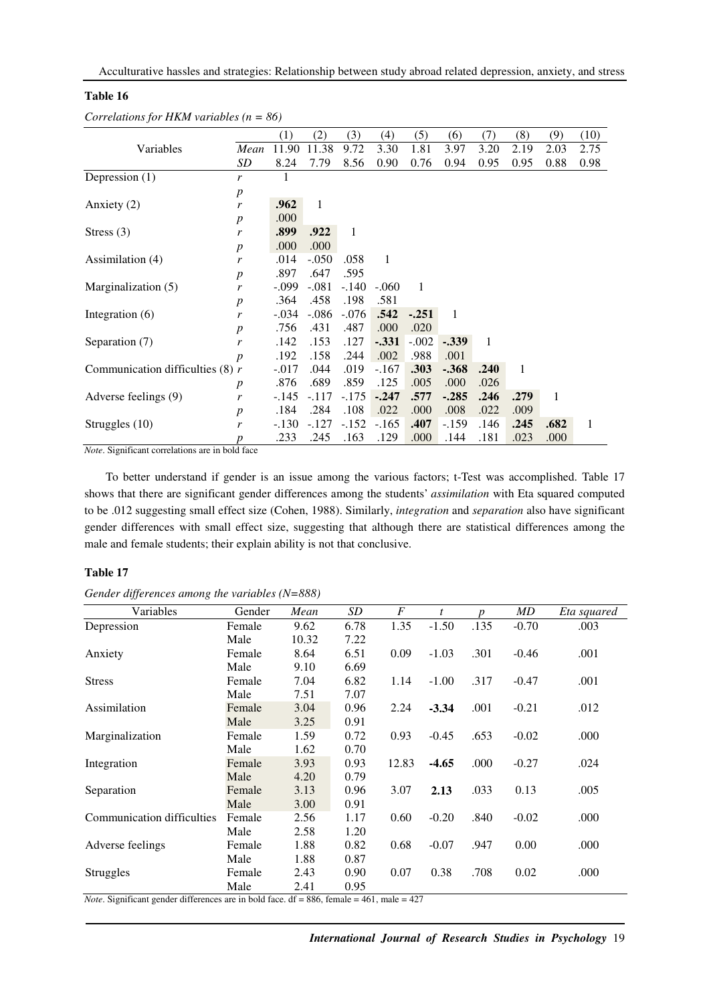### **Table 16**

|                                    |                  | (1)     | (2)          | (3)          | (4)     | (5)     | (6)      | (7)  | (8)  | (9)  | (10) |
|------------------------------------|------------------|---------|--------------|--------------|---------|---------|----------|------|------|------|------|
| Variables                          | Mean             | 11.90   | 11.38        | 9.72         | 3.30    | 1.81    | 3.97     | 3.20 | 2.19 | 2.03 | 2.75 |
|                                    | SD               | 8.24    | 7.79         | 8.56         | 0.90    | 0.76    | 0.94     | 0.95 | 0.95 | 0.88 | 0.98 |
| Depression $(1)$                   | r                | 1       |              |              |         |         |          |      |      |      |      |
|                                    | $\boldsymbol{p}$ |         |              |              |         |         |          |      |      |      |      |
| Anxiety $(2)$                      | r                | .962    | $\mathbf{1}$ |              |         |         |          |      |      |      |      |
|                                    | $\boldsymbol{p}$ | .000    |              |              |         |         |          |      |      |      |      |
| Stress $(3)$                       | r                | .899    | .922         | $\mathbf{1}$ |         |         |          |      |      |      |      |
|                                    | $\boldsymbol{p}$ | .000    | .000         |              |         |         |          |      |      |      |      |
| Assimilation (4)                   | r                | .014    | $-.050$      | .058         | 1       |         |          |      |      |      |      |
|                                    | $\boldsymbol{p}$ | .897    | .647         | .595         |         |         |          |      |      |      |      |
| Marginalization (5)                | r                | $-.099$ | $-.081$      | $-.140$      | $-.060$ | 1       |          |      |      |      |      |
|                                    | $\boldsymbol{p}$ | .364    | .458         | .198         | .581    |         |          |      |      |      |      |
| Integration $(6)$                  | r                | $-.034$ | $-.086$      | $-.076$      | .542    | $-.251$ | -1       |      |      |      |      |
|                                    | $\boldsymbol{p}$ | .756    | .431         | .487         | .000    | .020    |          |      |      |      |      |
| Separation (7)                     | r                | .142    | .153         | .127         | $-.331$ | $-.002$ | $-0.339$ | 1    |      |      |      |
|                                    | $\boldsymbol{p}$ | .192    | .158         | .244         | .002    | .988    | .001     |      |      |      |      |
| Communication difficulties $(8)$ r |                  | $-.017$ | .044         | .019         | $-.167$ | .303    | $-.368$  | .240 | 1    |      |      |
|                                    | $\boldsymbol{p}$ | .876    | .689         | .859         | .125    | .005    | .000     | .026 |      |      |      |
| Adverse feelings (9)               | r                | $-.145$ | $-.117$      | $-175$       | $-.247$ | .577    | $-.285$  | .246 | .279 | 1    |      |
|                                    | $\boldsymbol{p}$ | .184    | .284         | .108         | .022    | .000    | .008     | .022 | .009 |      |      |
| Struggles (10)                     | r                | $-.130$ | $-.127$      | $-152$       | $-.165$ | .407    | $-.159$  | .146 | .245 | .682 | 1    |
|                                    | p                | .233    | .245         | .163         | .129    | .000    | .144     | .181 | .023 | .000 |      |

*Correlations for HKM variables (n = 86)* 

*Note*. Significant correlations are in bold face

To better understand if gender is an issue among the various factors; t-Test was accomplished. Table 17 shows that there are significant gender differences among the students' *assimilation* with Eta squared computed to be .012 suggesting small effect size (Cohen, 1988). Similarly, *integration* and *separation* also have significant gender differences with small effect size, suggesting that although there are statistical differences among the male and female students; their explain ability is not that conclusive.

## **Table 17**

| Gender differences among the variables $(N=888)$ |  |  |
|--------------------------------------------------|--|--|
|                                                  |  |  |

| Variables                  | Gender | Mean  | SD   | $\overline{F}$ | t       | n    | MD      | Eta squared |
|----------------------------|--------|-------|------|----------------|---------|------|---------|-------------|
| Depression                 | Female | 9.62  | 6.78 | 1.35           | $-1.50$ | .135 | $-0.70$ | .003        |
|                            | Male   | 10.32 | 7.22 |                |         |      |         |             |
| Anxiety                    | Female | 8.64  | 6.51 | 0.09           | $-1.03$ | .301 | $-0.46$ | .001        |
|                            | Male   | 9.10  | 6.69 |                |         |      |         |             |
| <b>Stress</b>              | Female | 7.04  | 6.82 | 1.14           | $-1.00$ | .317 | $-0.47$ | .001        |
|                            | Male   | 7.51  | 7.07 |                |         |      |         |             |
| Assimilation               | Female | 3.04  | 0.96 | 2.24           | $-3.34$ | .001 | $-0.21$ | .012        |
|                            | Male   | 3.25  | 0.91 |                |         |      |         |             |
| Marginalization            | Female | 1.59  | 0.72 | 0.93           | $-0.45$ | .653 | $-0.02$ | .000        |
|                            | Male   | 1.62  | 0.70 |                |         |      |         |             |
| Integration                | Female | 3.93  | 0.93 | 12.83          | $-4.65$ | .000 | $-0.27$ | .024        |
|                            | Male   | 4.20  | 0.79 |                |         |      |         |             |
| Separation                 | Female | 3.13  | 0.96 | 3.07           | 2.13    | .033 | 0.13    | .005        |
|                            | Male   | 3.00  | 0.91 |                |         |      |         |             |
| Communication difficulties | Female | 2.56  | 1.17 | 0.60           | $-0.20$ | .840 | $-0.02$ | .000        |
|                            | Male   | 2.58  | 1.20 |                |         |      |         |             |
| Adverse feelings           | Female | 1.88  | 0.82 | 0.68           | $-0.07$ | .947 | 0.00    | .000        |
|                            | Male   | 1.88  | 0.87 |                |         |      |         |             |
| Struggles                  | Female | 2.43  | 0.90 | 0.07           | 0.38    | .708 | 0.02    | .000        |
|                            | Male   | 2.41  | 0.95 |                |         |      |         |             |

*Note*. Significant gender differences are in bold face.  $df = 886$ , female = 461, male = 427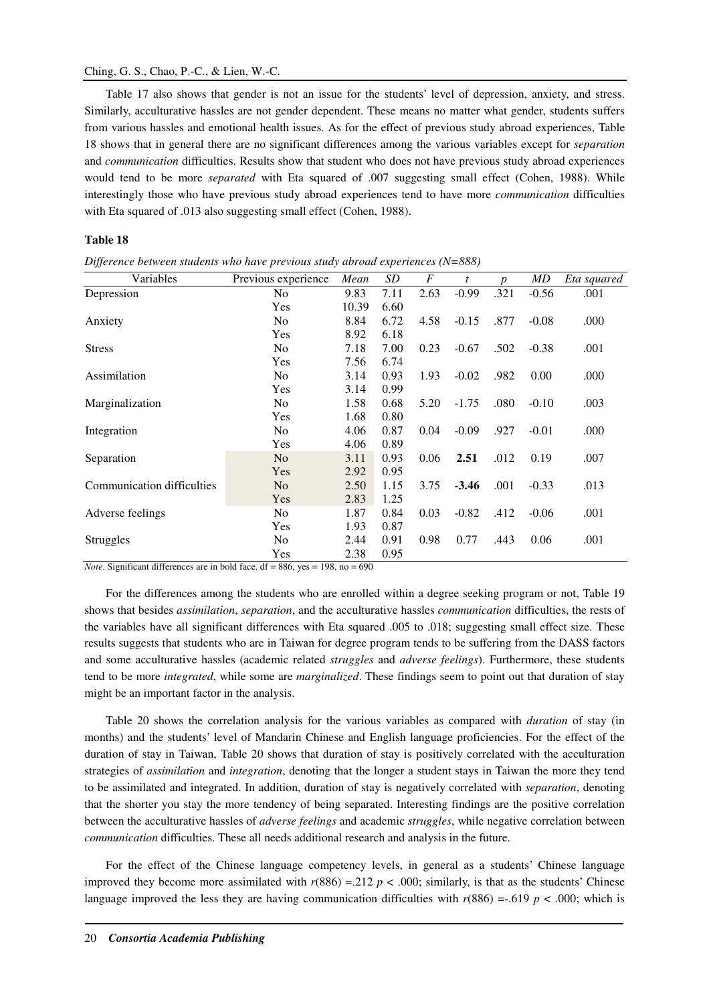## Ching, G. S., Chao, P.-C., & Lien, W.-C.

Table 17 also shows that gender is not an issue for the students' level of depression, anxiety, and stress. Similarly, acculturative hassles are not gender dependent. These means no matter what gender, students suffers from various hassles and emotional health issues. As for the effect of previous study abroad experiences, Table 18 shows that in general there are no significant differences among the various variables except for *separation* and *communication* difficulties. Results show that student who does not have previous study abroad experiences would tend to be more *separated* with Eta squared of .007 suggesting small effect (Cohen, 1988). While interestingly those who have previous study abroad experiences tend to have more *communication* difficulties with Eta squared of .013 also suggesting small effect (Cohen, 1988).

#### **Table 18**

| Variables                  | Previous experience | Mean  | SD   | F    | t       | $\boldsymbol{v}$ | MD      | Eta squared |
|----------------------------|---------------------|-------|------|------|---------|------------------|---------|-------------|
| Depression                 | N <sub>0</sub>      | 9.83  | 7.11 | 2.63 | $-0.99$ | .321             | $-0.56$ | .001        |
|                            | Yes                 | 10.39 | 6.60 |      |         |                  |         |             |
| Anxiety                    | N <sub>0</sub>      | 8.84  | 6.72 | 4.58 | $-0.15$ | .877             | $-0.08$ | .000        |
|                            | Yes                 | 8.92  | 6.18 |      |         |                  |         |             |
| <b>Stress</b>              | No                  | 7.18  | 7.00 | 0.23 | $-0.67$ | .502             | $-0.38$ | .001        |
|                            | Yes                 | 7.56  | 6.74 |      |         |                  |         |             |
| Assimilation               | N <sub>0</sub>      | 3.14  | 0.93 | 1.93 | $-0.02$ | .982             | 0.00    | .000        |
|                            | Yes                 | 3.14  | 0.99 |      |         |                  |         |             |
| Marginalization            | N <sub>0</sub>      | 1.58  | 0.68 | 5.20 | $-1.75$ | .080             | $-0.10$ | .003        |
|                            | Yes                 | 1.68  | 0.80 |      |         |                  |         |             |
| Integration                | No                  | 4.06  | 0.87 | 0.04 | $-0.09$ | .927             | $-0.01$ | .000        |
|                            | Yes                 | 4.06  | 0.89 |      |         |                  |         |             |
| Separation                 | N <sub>o</sub>      | 3.11  | 0.93 | 0.06 | 2.51    | .012             | 0.19    | .007        |
|                            | Yes                 | 2.92  | 0.95 |      |         |                  |         |             |
| Communication difficulties | N <sub>o</sub>      | 2.50  | 1.15 | 3.75 | $-3.46$ | .001             | $-0.33$ | .013        |
|                            | Yes                 | 2.83  | 1.25 |      |         |                  |         |             |
| Adverse feelings           | N <sub>0</sub>      | 1.87  | 0.84 | 0.03 | $-0.82$ | .412             | $-0.06$ | .001        |
|                            | Yes                 | 1.93  | 0.87 |      |         |                  |         |             |
| Struggles                  | N <sub>0</sub>      | 2.44  | 0.91 | 0.98 | 0.77    | .443             | 0.06    | .001        |
|                            | Yes                 | 2.38  | 0.95 |      |         |                  |         |             |

*Difference between students who have previous study abroad experiences (N=888)* 

*Note*. Significant differences are in bold face. df = 886, yes = 198, no = 690

For the differences among the students who are enrolled within a degree seeking program or not, Table 19 shows that besides *assimilation*, *separation*, and the acculturative hassles *communication* difficulties, the rests of the variables have all significant differences with Eta squared .005 to .018; suggesting small effect size. These results suggests that students who are in Taiwan for degree program tends to be suffering from the DASS factors and some acculturative hassles (academic related *struggles* and *adverse feelings*). Furthermore, these students tend to be more *integrated*, while some are *marginalized*. These findings seem to point out that duration of stay might be an important factor in the analysis.

Table 20 shows the correlation analysis for the various variables as compared with *duration* of stay (in months) and the students' level of Mandarin Chinese and English language proficiencies. For the effect of the duration of stay in Taiwan, Table 20 shows that duration of stay is positively correlated with the acculturation strategies of *assimilation* and *integration*, denoting that the longer a student stays in Taiwan the more they tend to be assimilated and integrated. In addition, duration of stay is negatively correlated with *separation*, denoting that the shorter you stay the more tendency of being separated. Interesting findings are the positive correlation between the acculturative hassles of *adverse feelings* and academic *struggles*, while negative correlation between *communication* difficulties. These all needs additional research and analysis in the future.

For the effect of the Chinese language competency levels, in general as a students' Chinese language improved they become more assimilated with  $r(886) = 212$   $p < .000$ ; similarly, is that as the students' Chinese language improved the less they are having communication difficulties with  $r(886) = .619$  *p < .*000; which is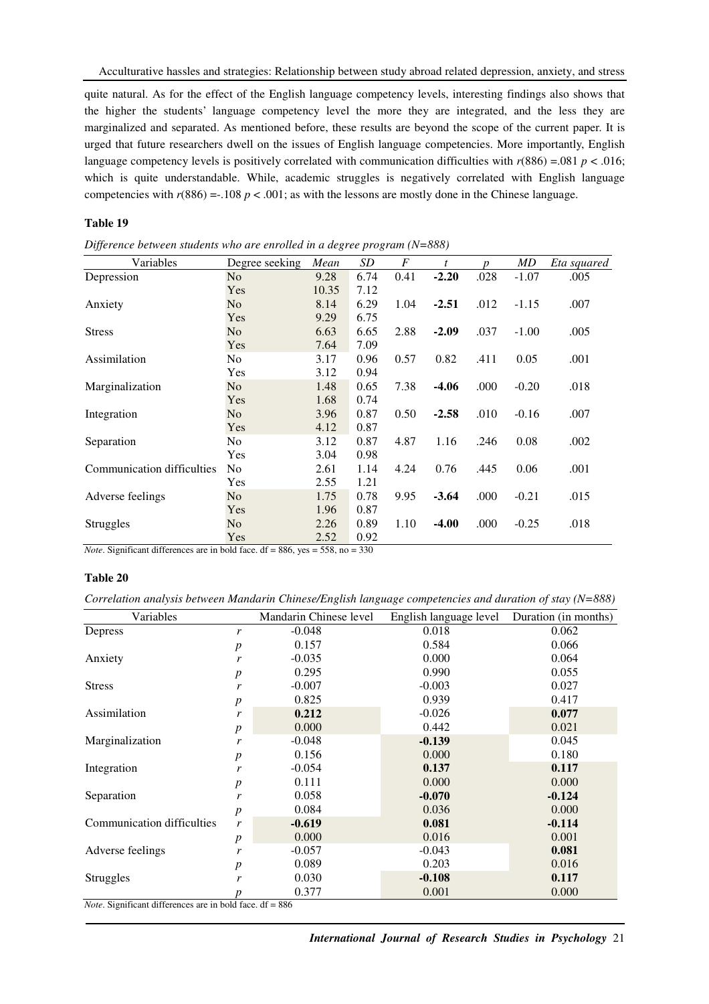quite natural. As for the effect of the English language competency levels, interesting findings also shows that the higher the students' language competency level the more they are integrated, and the less they are marginalized and separated. As mentioned before, these results are beyond the scope of the current paper. It is urged that future researchers dwell on the issues of English language competencies. More importantly, English language competency levels is positively correlated with communication difficulties with  $r(886) = .081$  *p < .*016; which is quite understandable. While, academic struggles is negatively correlated with English language competencies with  $r(886) = .108 p < .001$ ; as with the lessons are mostly done in the Chinese language.

### **Table 19**

| Difference between students who are enrolled in a degree program $(N=888)$ |  |  |  |
|----------------------------------------------------------------------------|--|--|--|
|                                                                            |  |  |  |

| Variables                  | Degree seeking | Mean  | SD   | $\boldsymbol{F}$ | t       |      | MD      | Eta squared |
|----------------------------|----------------|-------|------|------------------|---------|------|---------|-------------|
| Depression                 | N <sub>o</sub> | 9.28  | 6.74 | 0.41             | $-2.20$ | .028 | $-1.07$ | .005        |
|                            | Yes            | 10.35 | 7.12 |                  |         |      |         |             |
| Anxiety                    | N <sub>o</sub> | 8.14  | 6.29 | 1.04             | $-2.51$ | .012 | $-1.15$ | .007        |
|                            | Yes            | 9.29  | 6.75 |                  |         |      |         |             |
| <b>Stress</b>              | N <sub>o</sub> | 6.63  | 6.65 | 2.88             | $-2.09$ | .037 | $-1.00$ | .005        |
|                            | Yes            | 7.64  | 7.09 |                  |         |      |         |             |
| Assimilation               | N <sub>o</sub> | 3.17  | 0.96 | 0.57             | 0.82    | .411 | 0.05    | .001        |
|                            | Yes            | 3.12  | 0.94 |                  |         |      |         |             |
| Marginalization            | N <sub>o</sub> | 1.48  | 0.65 | 7.38             | $-4.06$ | .000 | $-0.20$ | .018        |
|                            | Yes            | 1.68  | 0.74 |                  |         |      |         |             |
| Integration                | N <sub>0</sub> | 3.96  | 0.87 | 0.50             | $-2.58$ | .010 | $-0.16$ | .007        |
|                            | Yes            | 4.12  | 0.87 |                  |         |      |         |             |
| Separation                 | N <sub>o</sub> | 3.12  | 0.87 | 4.87             | 1.16    | .246 | 0.08    | .002        |
|                            | Yes            | 3.04  | 0.98 |                  |         |      |         |             |
| Communication difficulties | N <sub>0</sub> | 2.61  | 1.14 | 4.24             | 0.76    | .445 | 0.06    | .001        |
|                            | Yes            | 2.55  | 1.21 |                  |         |      |         |             |
| Adverse feelings           | N <sub>o</sub> | 1.75  | 0.78 | 9.95             | $-3.64$ | .000 | $-0.21$ | .015        |
|                            | Yes            | 1.96  | 0.87 |                  |         |      |         |             |
| Struggles                  | N <sub>o</sub> | 2.26  | 0.89 | 1.10             | -4.00   | .000 | $-0.25$ | .018        |
| $\sim$<br>$\overline{a}$   | Yes            | 2.52  | 0.92 |                  |         |      |         |             |

*Note*. Significant differences are in bold face. df = 886, yes = 558, no = 330

#### **Table 20**

*Correlation analysis between Mandarin Chinese/English language competencies and duration of stay (N=888)* 

| Variables                  |                  | Mandarin Chinese level | English language level | Duration (in months) |
|----------------------------|------------------|------------------------|------------------------|----------------------|
| Depress                    | r                | $-0.048$               | 0.018                  | 0.062                |
|                            | $\boldsymbol{p}$ | 0.157                  | 0.584                  | 0.066                |
| Anxiety                    | r                | $-0.035$               | 0.000                  | 0.064                |
|                            | $\boldsymbol{p}$ | 0.295                  | 0.990                  | 0.055                |
| <b>Stress</b>              | r                | $-0.007$               | $-0.003$               | 0.027                |
|                            | $\boldsymbol{p}$ | 0.825                  | 0.939                  | 0.417                |
| Assimilation               | r                | 0.212                  | $-0.026$               | 0.077                |
|                            | $\boldsymbol{p}$ | 0.000                  | 0.442                  | 0.021                |
| Marginalization            | r                | $-0.048$               | $-0.139$               | 0.045                |
|                            | $\boldsymbol{p}$ | 0.156                  | 0.000                  | 0.180                |
| Integration                | r                | $-0.054$               | 0.137                  | 0.117                |
|                            | $\boldsymbol{p}$ | 0.111                  | 0.000                  | 0.000                |
| Separation                 | r                | 0.058                  | $-0.070$               | $-0.124$             |
|                            | $\boldsymbol{p}$ | 0.084                  | 0.036                  | 0.000                |
| Communication difficulties | r                | $-0.619$               | 0.081                  | $-0.114$             |
|                            | $\boldsymbol{p}$ | 0.000                  | 0.016                  | 0.001                |
| Adverse feelings           | r                | $-0.057$               | $-0.043$               | 0.081                |
|                            | $\boldsymbol{p}$ | 0.089                  | 0.203                  | 0.016                |
| Struggles                  | r                | 0.030                  | $-0.108$               | 0.117                |
|                            | n                | 0.377                  | 0.001                  | 0.000                |

*Note*. Significant differences are in bold face. df = 886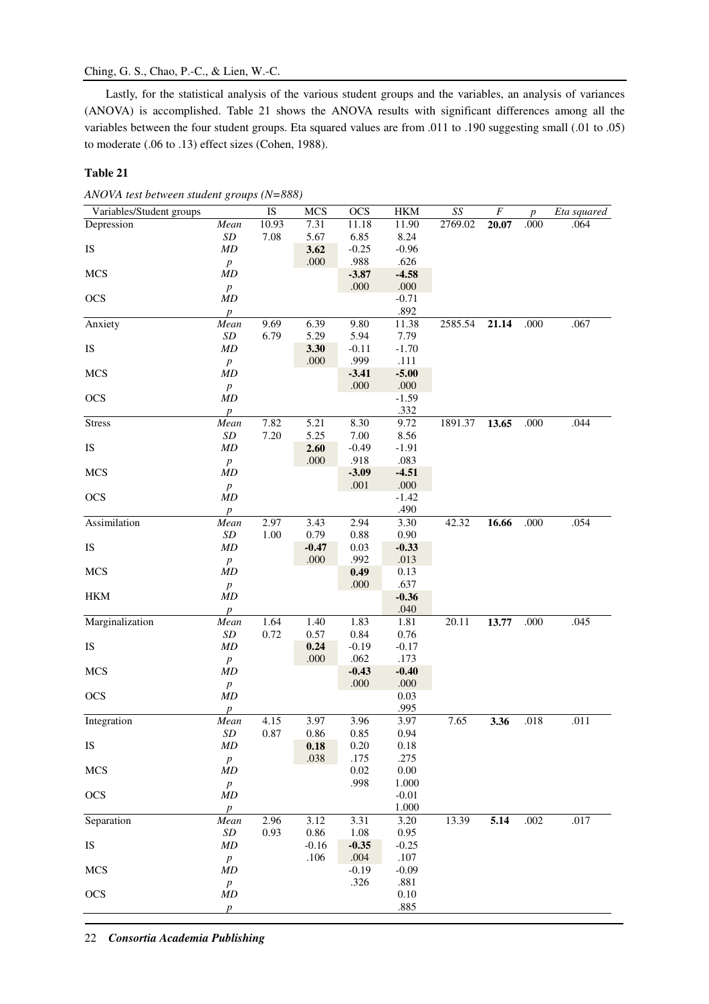# Ching, G. S., Chao, P.-C., & Lien, W.-C.

Lastly, for the statistical analysis of the various student groups and the variables, an analysis of variances (ANOVA) is accomplished. Table 21 shows the ANOVA results with significant differences among all the variables between the four student groups. Eta squared values are from .011 to .190 suggesting small (.01 to .05) to moderate (.06 to .13) effect sizes (Cohen, 1988).

# **Table 21**

|  |  |  |  |  | ANOVA test between student groups (N=888) |
|--|--|--|--|--|-------------------------------------------|
|--|--|--|--|--|-------------------------------------------|

| Variables/Student groups |                               | IS    | <b>MCS</b>      | <b>OCS</b>   | <b>HKM</b>      | $\mathit{SS}$ | $\boldsymbol{F}$ | $\boldsymbol{p}$ | Eta squared |
|--------------------------|-------------------------------|-------|-----------------|--------------|-----------------|---------------|------------------|------------------|-------------|
| Depression               | Mean                          | 10.93 | 7.31            | 11.18        | 11.90           | 2769.02       | 20.07            | .000             | .064        |
|                          | SD                            | 7.08  | 5.67            | 6.85         | 8.24            |               |                  |                  |             |
| IS                       | MD                            |       | 3.62            | $-0.25$      | $-0.96$         |               |                  |                  |             |
|                          | $\boldsymbol{p}$              |       | $.000$          | .988         | .626            |               |                  |                  |             |
| <b>MCS</b>               | MD                            |       |                 | $-3.87$      | $-4.58$         |               |                  |                  |             |
|                          | $\boldsymbol{p}$              |       |                 | $.000$       | .000            |               |                  |                  |             |
| <b>OCS</b>               | MD                            |       |                 |              | $-0.71$         |               |                  |                  |             |
|                          | $\boldsymbol{p}$              |       |                 |              | .892            |               |                  |                  |             |
| Anxiety                  | Mean                          | 9.69  | 6.39            | 9.80         | 11.38           | 2585.54       | 21.14            | .000             | .067        |
|                          | $\cal SD$                     | 6.79  | 5.29            | 5.94         | 7.79            |               |                  |                  |             |
| IS                       | MD                            |       | 3.30            | $-0.11$      | $-1.70$         |               |                  |                  |             |
|                          | $\boldsymbol{p}$              |       | .000            | .999         | .111            |               |                  |                  |             |
| <b>MCS</b>               | MD                            |       |                 | $-3.41$      | $-5.00$         |               |                  |                  |             |
|                          | $\boldsymbol{p}$              |       |                 | $.000$       | .000            |               |                  |                  |             |
| <b>OCS</b>               | MD                            |       |                 |              | $-1.59$         |               |                  |                  |             |
|                          | $\boldsymbol{p}$              |       |                 |              | .332            |               |                  |                  |             |
| <b>Stress</b>            | Mean                          | 7.82  | 5.21            | 8.30         | 9.72            | 1891.37       | 13.65            | .000             | .044        |
|                          | $\cal SD$                     | 7.20  | 5.25            | $7.00\,$     | 8.56            |               |                  |                  |             |
| IS                       | MD                            |       | 2.60            | $-0.49$      | $-1.91$         |               |                  |                  |             |
|                          | $\boldsymbol{p}$              |       | .000            | .918         | .083            |               |                  |                  |             |
| <b>MCS</b>               | MD                            |       |                 | $-3.09$      | $-4.51$         |               |                  |                  |             |
|                          | $\boldsymbol{p}$              |       |                 | $.001$       | .000<br>$-1.42$ |               |                  |                  |             |
| <b>OCS</b>               | MD                            |       |                 |              |                 |               |                  |                  |             |
|                          | $\boldsymbol{p}$              |       |                 |              | .490<br>3.30    |               |                  |                  |             |
| Assimilation             | Mean                          | 2.97  | 3.43            | 2.94         |                 | 42.32         | 16.66            | .000             | .054        |
|                          | SD                            | 1.00  | 0.79            | $0.88\,$     | 0.90            |               |                  |                  |             |
| IS                       | MD                            |       | $-0.47$<br>.000 | 0.03<br>.992 | $-0.33$<br>.013 |               |                  |                  |             |
| <b>MCS</b>               | $\boldsymbol{p}$<br>MD        |       |                 | 0.49         | 0.13            |               |                  |                  |             |
|                          |                               |       |                 | .000         | .637            |               |                  |                  |             |
| <b>HKM</b>               | $\boldsymbol{p}$<br><b>MD</b> |       |                 |              | $-0.36$         |               |                  |                  |             |
|                          |                               |       |                 |              | .040            |               |                  |                  |             |
| Marginalization          | $\boldsymbol{p}$<br>Mean      | 1.64  | 1.40            | 1.83         | 1.81            | 20.11         | 13.77            | .000             | .045        |
|                          | $\cal SD$                     | 0.72  | 0.57            | 0.84         | 0.76            |               |                  |                  |             |
| IS                       | MD                            |       | 0.24            | $-0.19$      | $-0.17$         |               |                  |                  |             |
|                          | $\boldsymbol{p}$              |       | .000            | .062         | .173            |               |                  |                  |             |
| <b>MCS</b>               | MD                            |       |                 | $-0.43$      | $-0.40$         |               |                  |                  |             |
|                          | $\boldsymbol{p}$              |       |                 | $.000$       | .000            |               |                  |                  |             |
| <b>OCS</b>               | MD                            |       |                 |              | 0.03            |               |                  |                  |             |
|                          | $\boldsymbol{p}$              |       |                 |              | .995            |               |                  |                  |             |
| Integration              | Mean                          | 4.15  | 3.97            | 3.96         | 3.97            | 7.65          | 3.36             | .018             | .011        |
|                          | $\cal SD$                     | 0.87  | 0.86            | 0.85         | 0.94            |               |                  |                  |             |
| IS                       | MD                            |       | 0.18            | $0.20\,$     | 0.18            |               |                  |                  |             |
|                          | $\boldsymbol{p}$              |       | .038            | .175         | .275            |               |                  |                  |             |
| <b>MCS</b>               | MD                            |       |                 | $0.02\,$     | $0.00\,$        |               |                  |                  |             |
|                          | $\boldsymbol{p}$              |       |                 | .998         | 1.000           |               |                  |                  |             |
| <b>OCS</b>               | MD                            |       |                 |              | $-0.01$         |               |                  |                  |             |
|                          | $\boldsymbol{p}$              |       |                 |              | 1.000           |               |                  |                  |             |
| Separation               | Mean                          | 2.96  | 3.12            | 3.31         | 3.20            | 13.39         | 5.14             | .002             | .017        |
|                          | $\cal SD$                     | 0.93  | 0.86            | $1.08\,$     | 0.95            |               |                  |                  |             |
| IS                       | MD                            |       | $-0.16$         | $-0.35$      | $-0.25$         |               |                  |                  |             |
|                          | $\boldsymbol{p}$              |       | .106            | $.004$       | .107            |               |                  |                  |             |
| <b>MCS</b>               | MD                            |       |                 | $-0.19$      | $-0.09$         |               |                  |                  |             |
|                          | $\boldsymbol{p}$              |       |                 | .326         | .881            |               |                  |                  |             |
| <b>OCS</b>               | MD                            |       |                 |              | $0.10\,$        |               |                  |                  |             |
|                          | $\boldsymbol{p}$              |       |                 |              | .885            |               |                  |                  |             |
|                          |                               |       |                 |              |                 |               |                  |                  |             |

22 *Consortia Academia Publishing*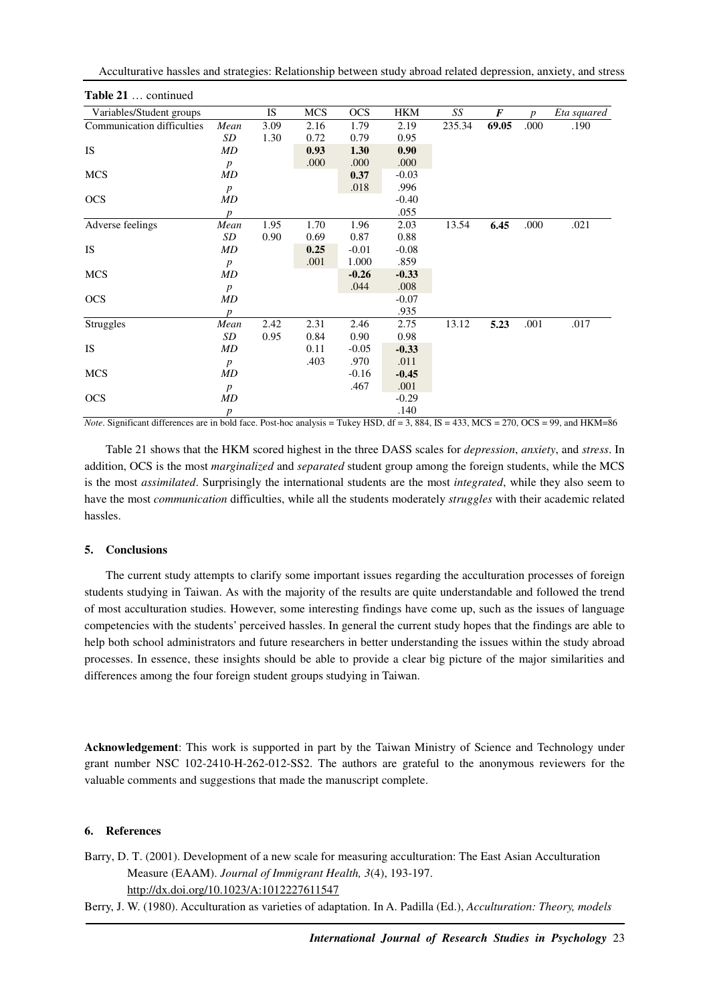| Variables/Student groups   |                  | IS   | MCS  | <b>OCS</b> | HKM     | SS     | $\boldsymbol{F}$ | <sub>n</sub> | Eta squared |
|----------------------------|------------------|------|------|------------|---------|--------|------------------|--------------|-------------|
| Communication difficulties | Mean             | 3.09 | 2.16 | 1.79       | 2.19    | 235.34 | 69.05            | .000         | .190        |
|                            | SD               | 1.30 | 0.72 | 0.79       | 0.95    |        |                  |              |             |
| <b>IS</b>                  | MD               |      | 0.93 | 1.30       | 0.90    |        |                  |              |             |
|                            | $\boldsymbol{p}$ |      | .000 | .000       | .000    |        |                  |              |             |
| <b>MCS</b>                 | MD               |      |      | 0.37       | $-0.03$ |        |                  |              |             |
|                            | $\boldsymbol{p}$ |      |      | .018       | .996    |        |                  |              |             |
| <b>OCS</b>                 | MD               |      |      |            | $-0.40$ |        |                  |              |             |
|                            | $\boldsymbol{p}$ |      |      |            | .055    |        |                  |              |             |
| Adverse feelings           | Mean             | 1.95 | 1.70 | 1.96       | 2.03    | 13.54  | 6.45             | .000         | .021        |
|                            | SD               | 0.90 | 0.69 | 0.87       | 0.88    |        |                  |              |             |
| <b>IS</b>                  | MD               |      | 0.25 | $-0.01$    | $-0.08$ |        |                  |              |             |
|                            | $\boldsymbol{p}$ |      | .001 | 1.000      | .859    |        |                  |              |             |
| <b>MCS</b>                 | MD               |      |      | $-0.26$    | $-0.33$ |        |                  |              |             |
|                            | $\boldsymbol{p}$ |      |      | .044       | .008    |        |                  |              |             |
| <b>OCS</b>                 | MD               |      |      |            | $-0.07$ |        |                  |              |             |
|                            | $\boldsymbol{p}$ |      |      |            | .935    |        |                  |              |             |
| Struggles                  | Mean             | 2.42 | 2.31 | 2.46       | 2.75    | 13.12  | 5.23             | .001         | .017        |
|                            | SD               | 0.95 | 0.84 | 0.90       | 0.98    |        |                  |              |             |
| <b>IS</b>                  | MD               |      | 0.11 | $-0.05$    | $-0.33$ |        |                  |              |             |
|                            | $\boldsymbol{p}$ |      | .403 | .970       | .011    |        |                  |              |             |
| <b>MCS</b>                 | MD               |      |      | $-0.16$    | $-0.45$ |        |                  |              |             |
|                            | $\boldsymbol{p}$ |      |      | .467       | .001    |        |                  |              |             |
| <b>OCS</b>                 | MD               |      |      |            | $-0.29$ |        |                  |              |             |
|                            | $\boldsymbol{p}$ |      |      |            | .140    |        |                  |              |             |

*Note*. Significant differences are in bold face. Post-hoc analysis = Tukey HSD, df = 3, 884, IS = 433, MCS = 270, OCS = 99, and HKM=86

Table 21 shows that the HKM scored highest in the three DASS scales for *depression*, *anxiety*, and *stress*. In addition, OCS is the most *marginalized* and *separated* student group among the foreign students, while the MCS is the most *assimilated*. Surprisingly the international students are the most *integrated*, while they also seem to have the most *communication* difficulties, while all the students moderately *struggles* with their academic related hassles.

# **5. Conclusions**

The current study attempts to clarify some important issues regarding the acculturation processes of foreign students studying in Taiwan. As with the majority of the results are quite understandable and followed the trend of most acculturation studies. However, some interesting findings have come up, such as the issues of language competencies with the students' perceived hassles. In general the current study hopes that the findings are able to help both school administrators and future researchers in better understanding the issues within the study abroad processes. In essence, these insights should be able to provide a clear big picture of the major similarities and differences among the four foreign student groups studying in Taiwan.

**Acknowledgement**: This work is supported in part by the Taiwan Ministry of Science and Technology under grant number NSC 102-2410-H-262-012-SS2. The authors are grateful to the anonymous reviewers for the valuable comments and suggestions that made the manuscript complete.

# **6. References**

Barry, D. T. (2001). Development of a new scale for measuring acculturation: The East Asian Acculturation Measure (EAAM). *Journal of Immigrant Health, 3*(4), 193-197. http://dx.doi.org/10.1023/A:1012227611547

Berry, J. W. (1980). Acculturation as varieties of adaptation. In A. Padilla (Ed.), *Acculturation: Theory, models*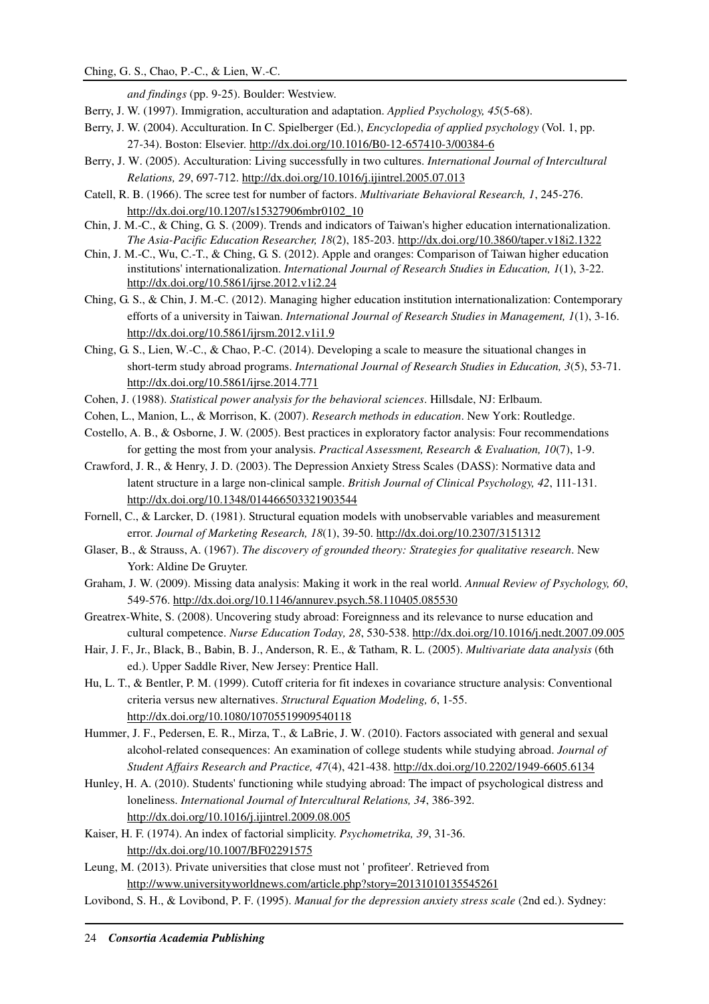*and findings* (pp. 9-25). Boulder: Westview.

- Berry, J. W. (1997). Immigration, acculturation and adaptation. *Applied Psychology, 45*(5-68).
- Berry, J. W. (2004). Acculturation. In C. Spielberger (Ed.), *Encyclopedia of applied psychology* (Vol. 1, pp. 27-34). Boston: Elsevier. http://dx.doi.org/10.1016/B0-12-657410-3/00384-6
- Berry, J. W. (2005). Acculturation: Living successfully in two cultures. *International Journal of Intercultural Relations, 29*, 697-712. http://dx.doi.org/10.1016/j.ijintrel.2005.07.013
- Catell, R. B. (1966). The scree test for number of factors. *Multivariate Behavioral Research, 1*, 245-276. http://dx.doi.org/10.1207/s15327906mbr0102\_10
- Chin, J. M.-C., & Ching, G. S. (2009). Trends and indicators of Taiwan's higher education internationalization. *The Asia-Pacific Education Researcher, 18*(2), 185-203. http://dx.doi.org/10.3860/taper.v18i2.1322
- Chin, J. M.-C., Wu, C.-T., & Ching, G. S. (2012). Apple and oranges: Comparison of Taiwan higher education institutions' internationalization. *International Journal of Research Studies in Education, 1*(1), 3-22. http://dx.doi.org/10.5861/ijrse.2012.v1i2.24
- Ching, G. S., & Chin, J. M.-C. (2012). Managing higher education institution internationalization: Contemporary efforts of a university in Taiwan. *International Journal of Research Studies in Management, 1*(1), 3-16. http://dx.doi.org/10.5861/ijrsm.2012.v1i1.9
- Ching, G. S., Lien, W.-C., & Chao, P.-C. (2014). Developing a scale to measure the situational changes in short-term study abroad programs. *International Journal of Research Studies in Education, 3*(5), 53-71. http://dx.doi.org/10.5861/ijrse.2014.771
- Cohen, J. (1988). *Statistical power analysis for the behavioral sciences*. Hillsdale, NJ: Erlbaum.
- Cohen, L., Manion, L., & Morrison, K. (2007). *Research methods in education*. New York: Routledge.
- Costello, A. B., & Osborne, J. W. (2005). Best practices in exploratory factor analysis: Four recommendations for getting the most from your analysis. *Practical Assessment, Research & Evaluation, 10*(7), 1-9.
- Crawford, J. R., & Henry, J. D. (2003). The Depression Anxiety Stress Scales (DASS): Normative data and latent structure in a large non-clinical sample. *British Journal of Clinical Psychology, 42*, 111-131. http://dx.doi.org/10.1348/014466503321903544
- Fornell, C., & Larcker, D. (1981). Structural equation models with unobservable variables and measurement error. *Journal of Marketing Research, 18*(1), 39-50. http://dx.doi.org/10.2307/3151312
- Glaser, B., & Strauss, A. (1967). *The discovery of grounded theory: Strategies for qualitative research*. New York: Aldine De Gruyter.
- Graham, J. W. (2009). Missing data analysis: Making it work in the real world. *Annual Review of Psychology, 60*, 549-576. http://dx.doi.org/10.1146/annurev.psych.58.110405.085530
- Greatrex-White, S. (2008). Uncovering study abroad: Foreignness and its relevance to nurse education and cultural competence. *Nurse Education Today, 28*, 530-538. http://dx.doi.org/10.1016/j.nedt.2007.09.005
- Hair, J. F., Jr., Black, B., Babin, B. J., Anderson, R. E., & Tatham, R. L. (2005). *Multivariate data analysis* (6th ed.). Upper Saddle River, New Jersey: Prentice Hall.
- Hu, L. T., & Bentler, P. M. (1999). Cutoff criteria for fit indexes in covariance structure analysis: Conventional criteria versus new alternatives. *Structural Equation Modeling, 6*, 1-55. http://dx.doi.org/10.1080/10705519909540118
- Hummer, J. F., Pedersen, E. R., Mirza, T., & LaBrie, J. W. (2010). Factors associated with general and sexual alcohol-related consequences: An examination of college students while studying abroad. *Journal of Student Affairs Research and Practice, 47*(4), 421-438. http://dx.doi.org/10.2202/1949-6605.6134
- Hunley, H. A. (2010). Students' functioning while studying abroad: The impact of psychological distress and loneliness. *International Journal of Intercultural Relations, 34*, 386-392. http://dx.doi.org/10.1016/j.ijintrel.2009.08.005
- Kaiser, H. F. (1974). An index of factorial simplicity. *Psychometrika, 39*, 31-36. http://dx.doi.org/10.1007/BF02291575
- Leung, M. (2013). Private universities that close must not ' profiteer'. Retrieved from http://www.universityworldnews.com/article.php?story=20131010135545261
- Lovibond, S. H., & Lovibond, P. F. (1995). *Manual for the depression anxiety stress scale* (2nd ed.). Sydney: